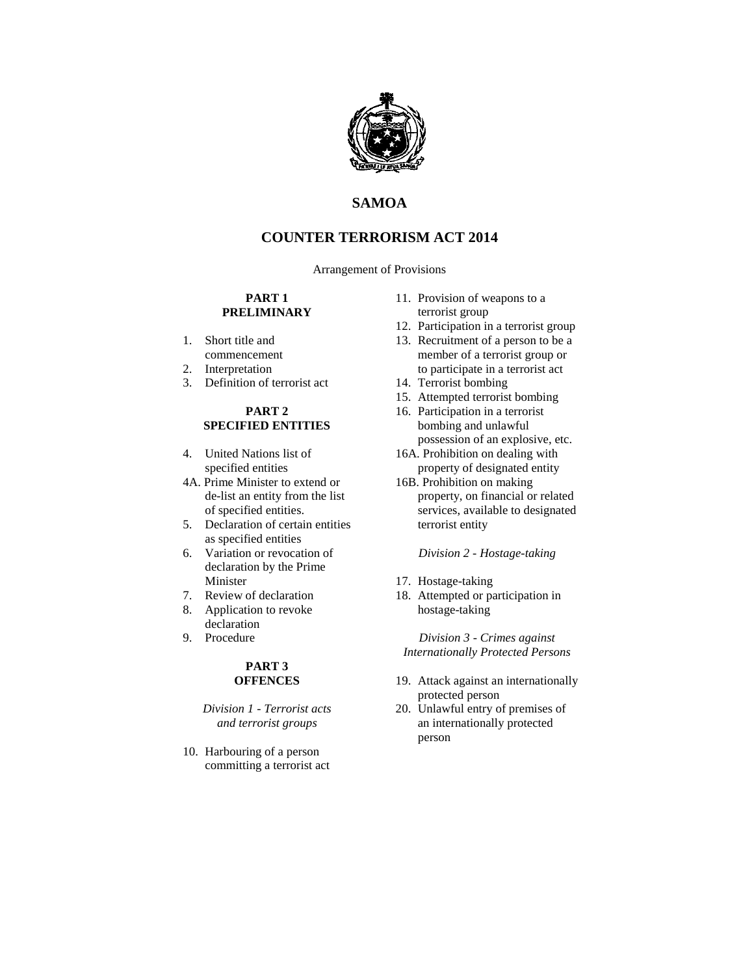

# **SAMOA**

# **COUNTER TERRORISM ACT 2014**

Arrangement of Provisions

### **PART 1 PRELIMINARY**

- 1. Short title and commencement
- 2. Interpretation
- 3. Definition of terrorist act

### **PART 2 SPECIFIED ENTITIES**

- 4. United Nations list of specified entities
- 4A. Prime Minister to extend or de-list an entity from the list of specified entities.
- 5. Declaration of certain entities as specified entities
- 6. Variation or revocation of declaration by the Prime Minister
- 7. Review of declaration
- 8. Application to revoke declaration
- 9. Procedure

### **PART 3 OFFENCES**

### *Division 1 - Terrorist acts and terrorist groups*

10. Harbouring of a person committing a terrorist act

- 11. Provision of weapons to a terrorist group
- 12. Participation in a terrorist group
- 13. Recruitment of a person to be a member of a terrorist group or to participate in a terrorist act
- 14. Terrorist bombing
- 15. Attempted terrorist bombing
- 16. Participation in a terrorist bombing and unlawful possession of an explosive, etc.
- 16A. Prohibition on dealing with property of designated entity
- 16B. Prohibition on making property, on financial or related services, available to designated terrorist entity

*Division 2 - Hostage-taking*

- 17. Hostage-taking
- 18. Attempted or participation in hostage-taking

*Division 3 - Crimes against Internationally Protected Persons*

- 19. Attack against an internationally protected person
- 20. Unlawful entry of premises of an internationally protected person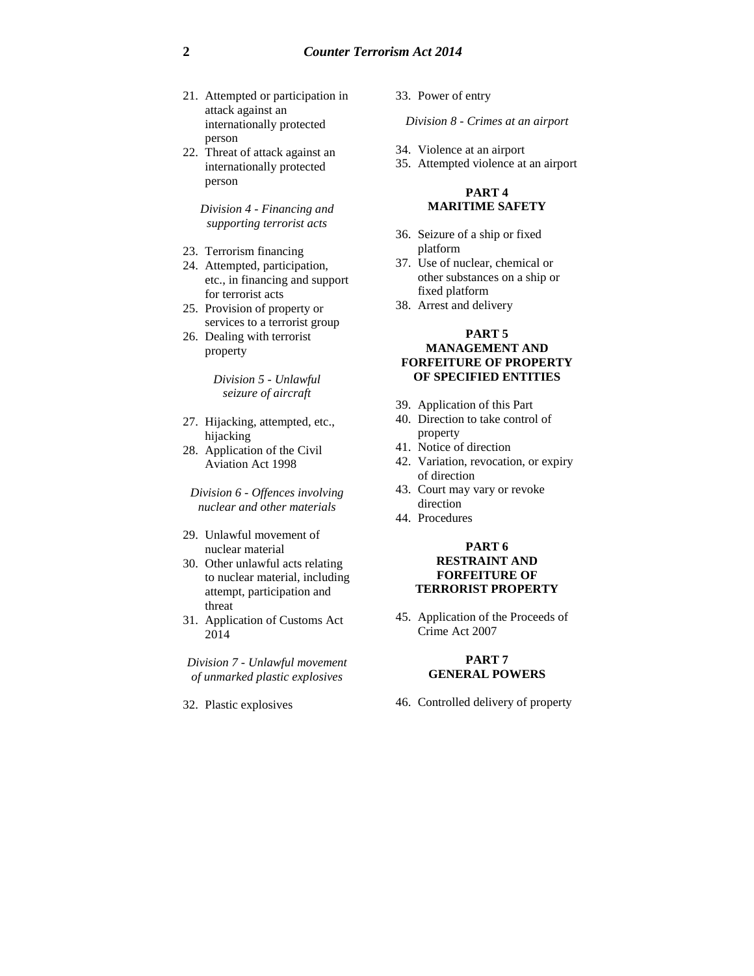- 21. Attempted or participation in attack against an internationally protected person
- 22. Threat of attack against an internationally protected person

*Division 4 - Financing and supporting terrorist acts*

- 23. Terrorism financing
- 24. Attempted, participation, etc., in financing and support for terrorist acts
- 25. Provision of property or services to a terrorist group
- 26. Dealing with terrorist property

*Division 5 - Unlawful seizure of aircraft*

- 27. Hijacking, attempted, etc., hijacking
- 28. Application of the Civil Aviation Act 1998

*Division 6 - Offences involving nuclear and other materials*

- 29. Unlawful movement of nuclear material
- 30. Other unlawful acts relating to nuclear material, including attempt, participation and threat
- 31. Application of Customs Act 2014

*Division 7 - Unlawful movement of unmarked plastic explosives*

32. Plastic explosives

33. Power of entry

*Division 8 - Crimes at an airport*

- 34. Violence at an airport
- 35. Attempted violence at an airport

#### **PART 4 MARITIME SAFETY**

- 36. Seizure of a ship or fixed platform
- 37. Use of nuclear, chemical or other substances on a ship or fixed platform
- 38. Arrest and delivery

### **PART 5 MANAGEMENT AND FORFEITURE OF PROPERTY OF SPECIFIED ENTITIES**

- 39. Application of this Part
- 40. Direction to take control of property
- 41. Notice of direction
- 42. Variation, revocation, or expiry of direction
- 43. Court may vary or revoke direction
- 44. Procedures

#### **PART 6 RESTRAINT AND FORFEITURE OF TERRORIST PROPERTY**

45. Application of the Proceeds of Crime Act 2007

#### **PART 7 GENERAL POWERS**

46. Controlled delivery of property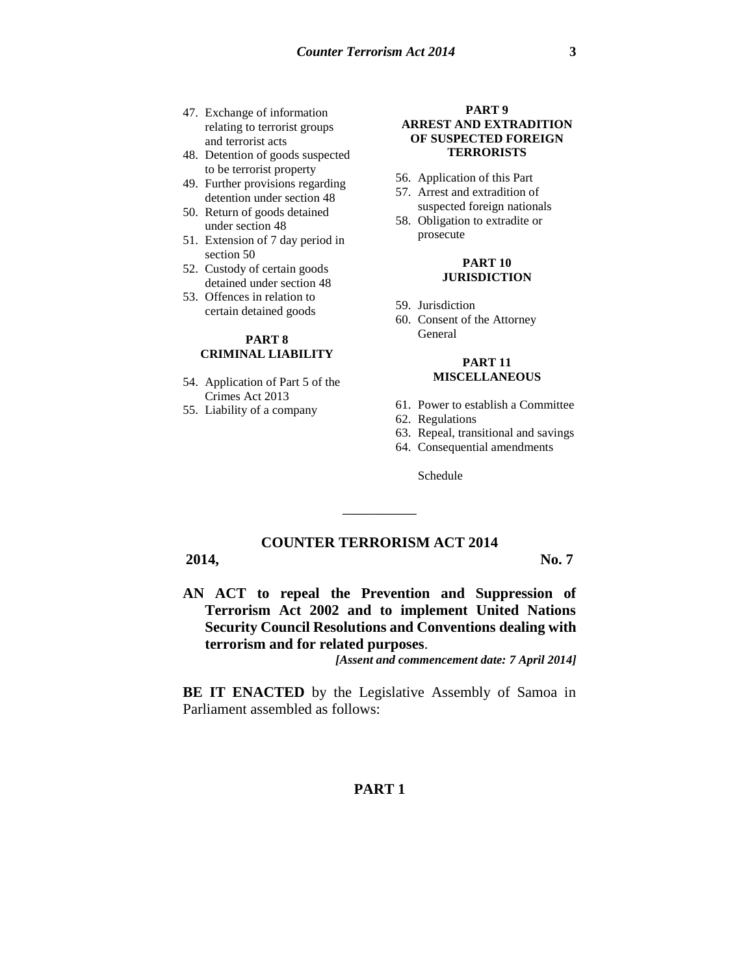- 47. Exchange of information relating to terrorist groups and terrorist acts
- 48. Detention of goods suspected to be terrorist property
- 49. Further provisions regarding detention under section 48
- 50. Return of goods detained under section 48
- 51. Extension of 7 day period in section 50
- 52. Custody of certain goods detained under section 48
- 53. Offences in relation to certain detained goods

## **PART 8 CRIMINAL LIABILITY**

- 54. Application of Part 5 of the Crimes Act 2013
- 55. Liability of a company

#### **PART 9 ARREST AND EXTRADITION OF SUSPECTED FOREIGN TERRORISTS**

- 56. Application of this Part
- 57. Arrest and extradition of suspected foreign nationals
- 58. Obligation to extradite or prosecute

#### **PART 10 JURISDICTION**

- 59. Jurisdiction
- 60. Consent of the Attorney General

#### **PART 11 MISCELLANEOUS**

#### 61. Power to establish a Committee

- 62. Regulations
- 63. Repeal, transitional and savings
- 64. Consequential amendments

Schedule

# **COUNTER TERRORISM ACT 2014**

\_\_\_\_\_\_\_\_\_\_

### **2014, No. 7**

**AN ACT to repeal the Prevention and Suppression of Terrorism Act 2002 and to implement United Nations Security Council Resolutions and Conventions dealing with terrorism and for related purposes**.

*[Assent and commencement date: 7 April 2014]*

**BE IT ENACTED** by the Legislative Assembly of Samoa in Parliament assembled as follows:

# **PART 1**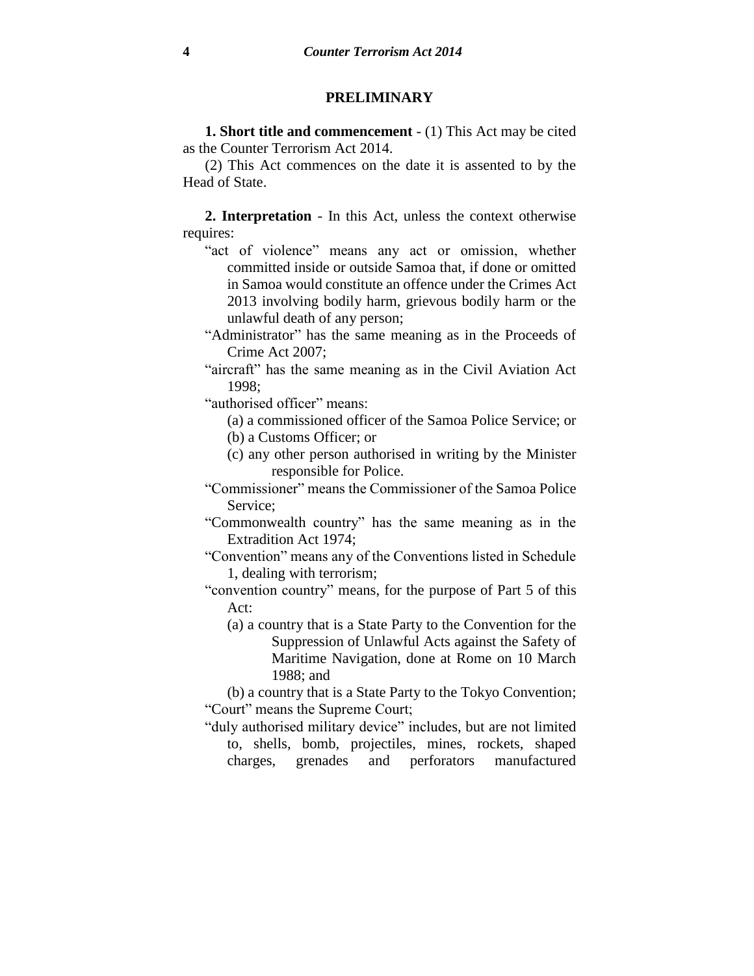## **PRELIMINARY**

**1. Short title and commencement** - (1) This Act may be cited as the Counter Terrorism Act 2014.

(2) This Act commences on the date it is assented to by the Head of State.

**2. Interpretation** - In this Act, unless the context otherwise requires:

- "act of violence" means any act or omission, whether committed inside or outside Samoa that, if done or omitted in Samoa would constitute an offence under the Crimes Act 2013 involving bodily harm, grievous bodily harm or the unlawful death of any person;
- "Administrator" has the same meaning as in the Proceeds of Crime Act 2007;
- "aircraft" has the same meaning as in the Civil Aviation Act 1998;

"authorised officer" means:

- (a) a commissioned officer of the Samoa Police Service; or
- (b) a Customs Officer; or
- (c) any other person authorised in writing by the Minister responsible for Police.
- "Commissioner" means the Commissioner of the Samoa Police Service;
- "Commonwealth country" has the same meaning as in the Extradition Act 1974;
- "Convention" means any of the Conventions listed in Schedule 1, dealing with terrorism;

"convention country" means, for the purpose of Part 5 of this Act:

(a) a country that is a State Party to the Convention for the Suppression of Unlawful Acts against the Safety of Maritime Navigation, done at Rome on 10 March 1988; and

(b) a country that is a State Party to the Tokyo Convention; "Court" means the Supreme Court;

"duly authorised military device" includes, but are not limited to, shells, bomb, projectiles, mines, rockets, shaped charges, grenades and perforators manufactured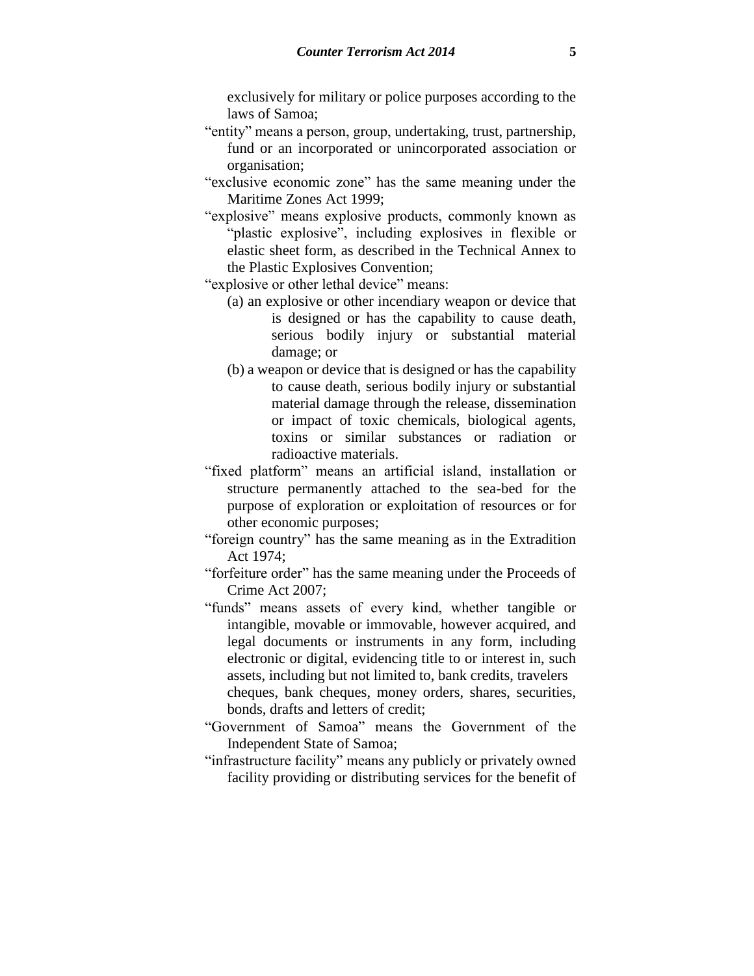exclusively for military or police purposes according to the laws of Samoa;

- "entity" means a person, group, undertaking, trust, partnership, fund or an incorporated or unincorporated association or organisation;
- "exclusive economic zone" has the same meaning under the Maritime Zones Act 1999;
- "explosive" means explosive products, commonly known as "plastic explosive", including explosives in flexible or elastic sheet form, as described in the Technical Annex to the Plastic Explosives Convention;
- "explosive or other lethal device" means:
	- (a) an explosive or other incendiary weapon or device that is designed or has the capability to cause death, serious bodily injury or substantial material damage; or
	- (b) a weapon or device that is designed or has the capability to cause death, serious bodily injury or substantial material damage through the release, dissemination or impact of toxic chemicals, biological agents, toxins or similar substances or radiation or radioactive materials.
- "fixed platform" means an artificial island, installation or structure permanently attached to the sea-bed for the purpose of exploration or exploitation of resources or for other economic purposes;
- "foreign country" has the same meaning as in the Extradition Act 1974;
- "forfeiture order" has the same meaning under the Proceeds of Crime Act 2007;
- "funds" means assets of every kind, whether tangible or intangible, movable or immovable, however acquired, and legal documents or instruments in any form, including electronic or digital, evidencing title to or interest in, such assets, including but not limited to, bank credits, travelers cheques, bank cheques, money orders, shares, securities, bonds, drafts and letters of credit;
- "Government of Samoa" means the Government of the Independent State of Samoa;
- "infrastructure facility" means any publicly or privately owned facility providing or distributing services for the benefit of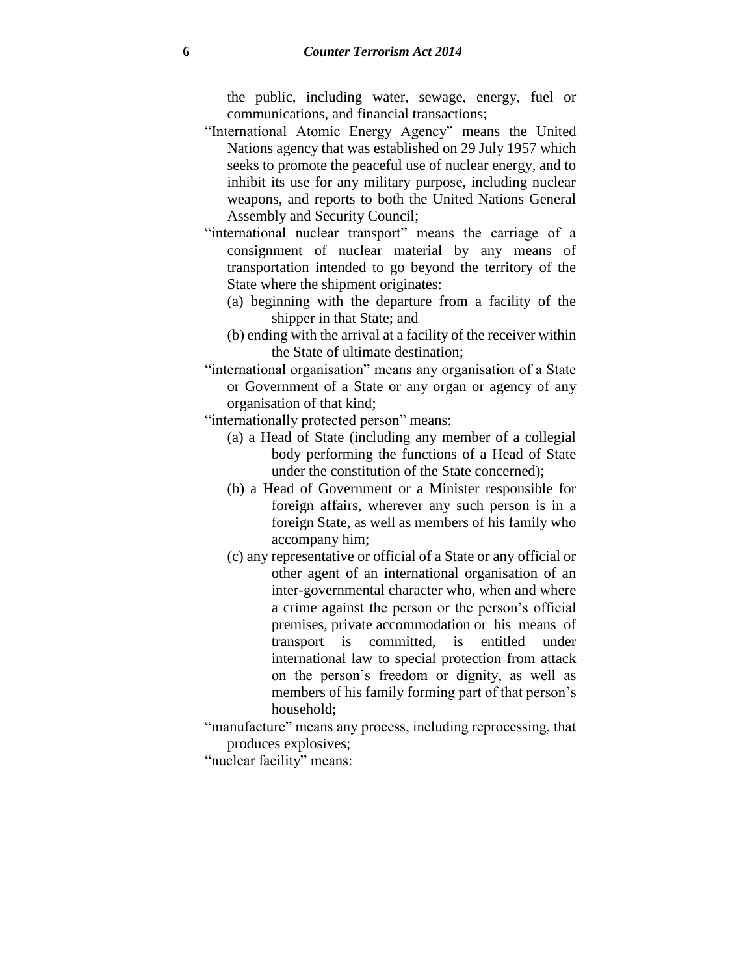the public, including water, sewage, energy, fuel or communications, and financial transactions;

- "International Atomic Energy Agency" means the United Nations agency that was established on 29 July 1957 which seeks to promote the peaceful use of nuclear energy, and to inhibit its use for any military purpose, including nuclear weapons, and reports to both the United Nations General Assembly and Security Council;
- "international nuclear transport" means the carriage of a consignment of nuclear material by any means of transportation intended to go beyond the territory of the State where the shipment originates:
	- (a) beginning with the departure from a facility of the shipper in that State; and
	- (b) ending with the arrival at a facility of the receiver within the State of ultimate destination;
- "international organisation" means any organisation of a State or Government of a State or any organ or agency of any organisation of that kind;

"internationally protected person" means:

- (a) a Head of State (including any member of a collegial body performing the functions of a Head of State under the constitution of the State concerned);
- (b) a Head of Government or a Minister responsible for foreign affairs, wherever any such person is in a foreign State, as well as members of his family who accompany him;
- (c) any representative or official of a State or any official or other agent of an international organisation of an inter-governmental character who, when and where a crime against the person or the person's official premises, private accommodation or his means of transport is committed, is entitled under international law to special protection from attack on the person's freedom or dignity, as well as members of his family forming part of that person's household;

"manufacture" means any process, including reprocessing, that produces explosives;

"nuclear facility" means: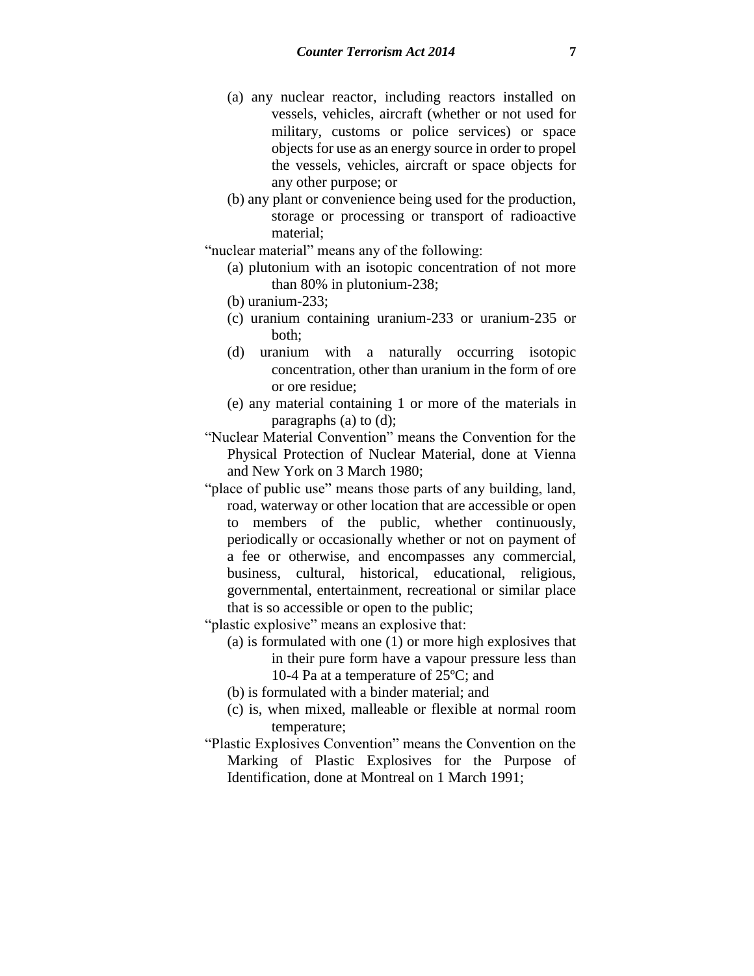- (a) any nuclear reactor, including reactors installed on vessels, vehicles, aircraft (whether or not used for military, customs or police services) or space objects for use as an energy source in order to propel the vessels, vehicles, aircraft or space objects for any other purpose; or
- (b) any plant or convenience being used for the production, storage or processing or transport of radioactive material;

"nuclear material" means any of the following:

(a) plutonium with an isotopic concentration of not more than 80% in plutonium-238;

(b) uranium-233;

- (c) uranium containing uranium-233 or uranium-235 or both;
- (d) uranium with a naturally occurring isotopic concentration, other than uranium in the form of ore or ore residue;
- (e) any material containing 1 or more of the materials in paragraphs (a) to (d);

"Nuclear Material Convention" means the Convention for the Physical Protection of Nuclear Material, done at Vienna and New York on 3 March 1980;

- "place of public use" means those parts of any building, land, road, waterway or other location that are accessible or open to members of the public, whether continuously, periodically or occasionally whether or not on payment of a fee or otherwise, and encompasses any commercial, business, cultural, historical, educational, religious, governmental, entertainment, recreational or similar place that is so accessible or open to the public;
- "plastic explosive" means an explosive that:
	- (a) is formulated with one (1) or more high explosives that in their pure form have a vapour pressure less than 10-4 Pa at a temperature of 25ºC; and
	- (b) is formulated with a binder material; and
	- (c) is, when mixed, malleable or flexible at normal room temperature;
- "Plastic Explosives Convention" means the Convention on the Marking of Plastic Explosives for the Purpose of Identification, done at Montreal on 1 March 1991;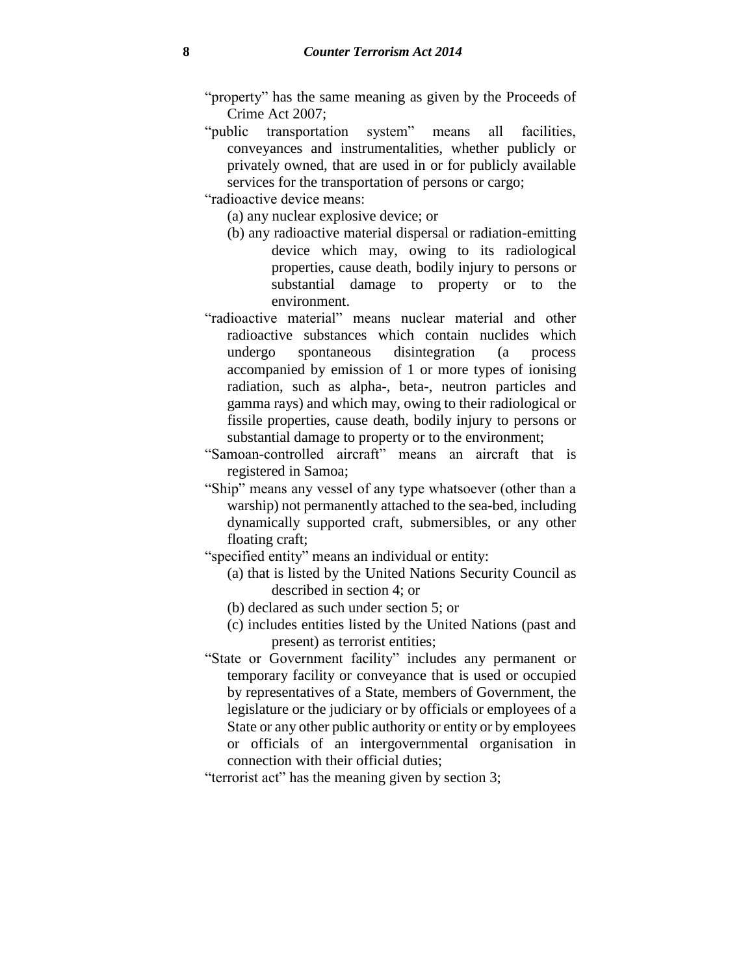- "property" has the same meaning as given by the Proceeds of Crime Act 2007;
- "public transportation system" means all facilities, conveyances and instrumentalities, whether publicly or privately owned, that are used in or for publicly available services for the transportation of persons or cargo;

"radioactive device means:

- (a) any nuclear explosive device; or
- (b) any radioactive material dispersal or radiation-emitting device which may, owing to its radiological properties, cause death, bodily injury to persons or substantial damage to property or to the environment.
- "radioactive material" means nuclear material and other radioactive substances which contain nuclides which undergo spontaneous disintegration (a process accompanied by emission of 1 or more types of ionising radiation, such as alpha-, beta-, neutron particles and gamma rays) and which may, owing to their radiological or fissile properties, cause death, bodily injury to persons or substantial damage to property or to the environment;
- "Samoan-controlled aircraft" means an aircraft that is registered in Samoa;
- "Ship" means any vessel of any type whatsoever (other than a warship) not permanently attached to the sea-bed, including dynamically supported craft, submersibles, or any other floating craft;
- "specified entity" means an individual or entity:
	- (a) that is listed by the United Nations Security Council as described in section 4; or
	- (b) declared as such under section 5; or
	- (c) includes entities listed by the United Nations (past and present) as terrorist entities;
- "State or Government facility" includes any permanent or temporary facility or conveyance that is used or occupied by representatives of a State, members of Government, the legislature or the judiciary or by officials or employees of a State or any other public authority or entity or by employees or officials of an intergovernmental organisation in connection with their official duties;

"terrorist act" has the meaning given by section 3;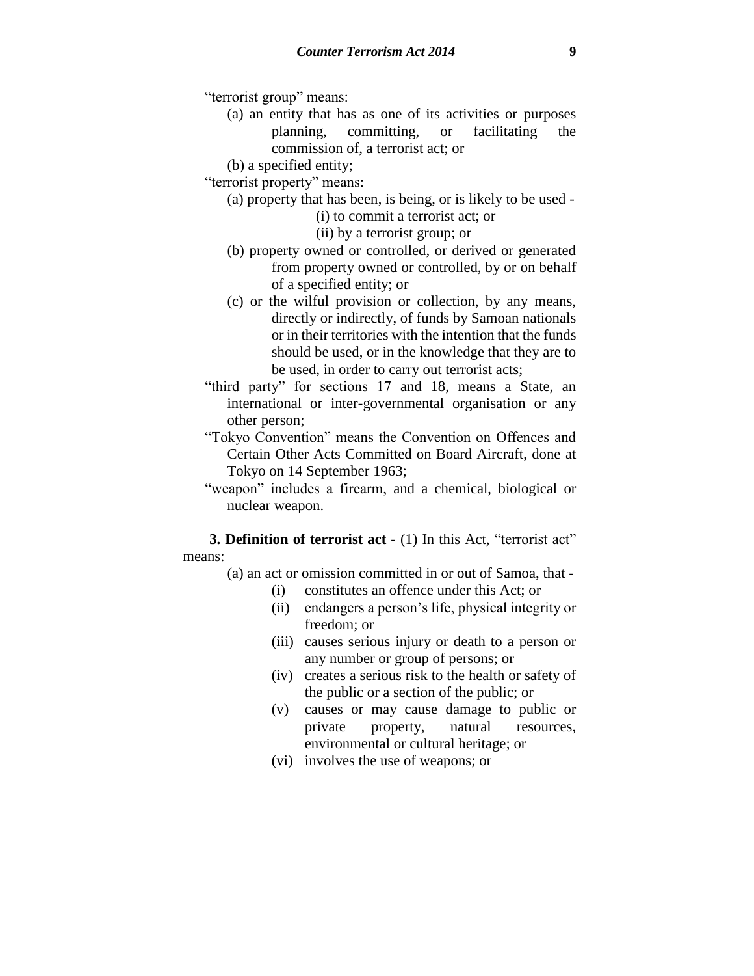"terrorist group" means:

(a) an entity that has as one of its activities or purposes planning, committing, or facilitating the commission of, a terrorist act; or

(b) a specified entity;

"terrorist property" means:

(a) property that has been, is being, or is likely to be used -

(i) to commit a terrorist act; or

(ii) by a terrorist group; or

- (b) property owned or controlled, or derived or generated from property owned or controlled, by or on behalf of a specified entity; or
- (c) or the wilful provision or collection, by any means, directly or indirectly, of funds by Samoan nationals or in their territories with the intention that the funds should be used, or in the knowledge that they are to be used, in order to carry out terrorist acts;
- "third party" for sections 17 and 18, means a State, an international or inter-governmental organisation or any other person;
- "Tokyo Convention" means the Convention on Offences and Certain Other Acts Committed on Board Aircraft, done at Tokyo on 14 September 1963;
- "weapon" includes a firearm, and a chemical, biological or nuclear weapon.

**3. Definition of terrorist act** - (1) In this Act, "terrorist act" means:

- (a) an act or omission committed in or out of Samoa, that
	- (i) constitutes an offence under this Act; or
	- (ii) endangers a person's life, physical integrity or freedom; or
	- (iii) causes serious injury or death to a person or any number or group of persons; or
	- (iv) creates a serious risk to the health or safety of the public or a section of the public; or
	- (v) causes or may cause damage to public or private property, natural resources, environmental or cultural heritage; or
	- (vi) involves the use of weapons; or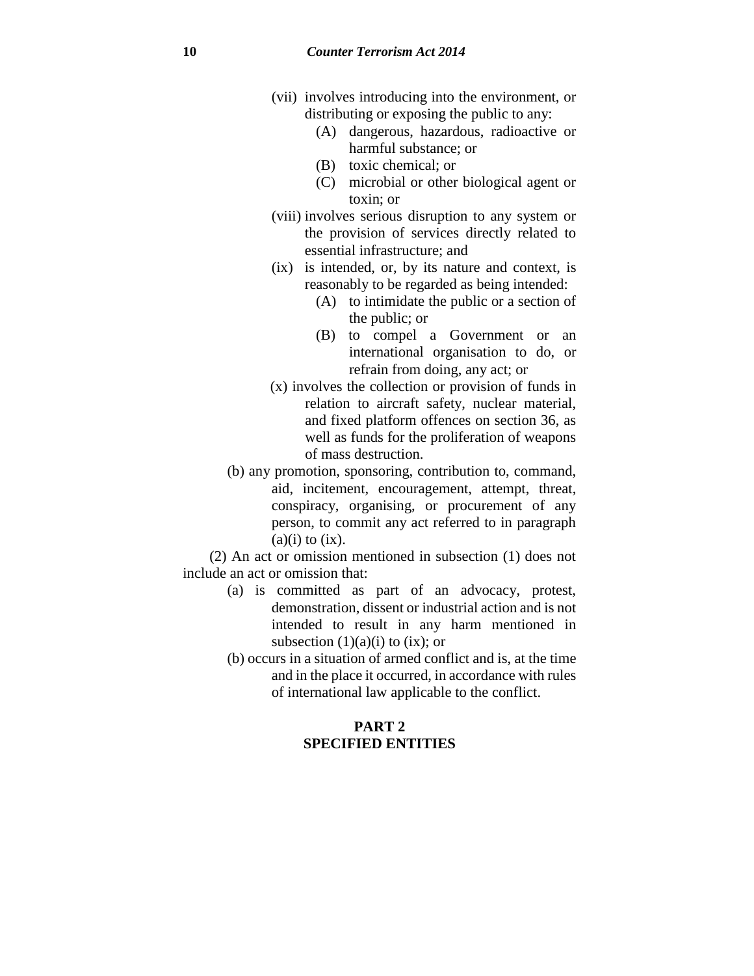- (vii) involves introducing into the environment, or distributing or exposing the public to any:
	- (A) dangerous, hazardous, radioactive or harmful substance; or
	- (B) toxic chemical; or
	- (C) microbial or other biological agent or toxin; or
- (viii) involves serious disruption to any system or the provision of services directly related to essential infrastructure; and
- (ix) is intended, or, by its nature and context, is reasonably to be regarded as being intended:
	- (A) to intimidate the public or a section of the public; or
	- (B) to compel a Government or an international organisation to do, or refrain from doing, any act; or
- (x) involves the collection or provision of funds in relation to aircraft safety, nuclear material, and fixed platform offences on section 36, as well as funds for the proliferation of weapons of mass destruction.
- (b) any promotion, sponsoring, contribution to, command, aid, incitement, encouragement, attempt, threat, conspiracy, organising, or procurement of any person, to commit any act referred to in paragraph  $(a)(i)$  to  $(ix)$ .

(2) An act or omission mentioned in subsection (1) does not include an act or omission that:

- (a) is committed as part of an advocacy, protest, demonstration, dissent or industrial action and is not intended to result in any harm mentioned in subsection  $(1)(a)(i)$  to  $(ix)$ ; or
- (b) occurs in a situation of armed conflict and is, at the time and in the place it occurred, in accordance with rules of international law applicable to the conflict.

## **PART 2 SPECIFIED ENTITIES**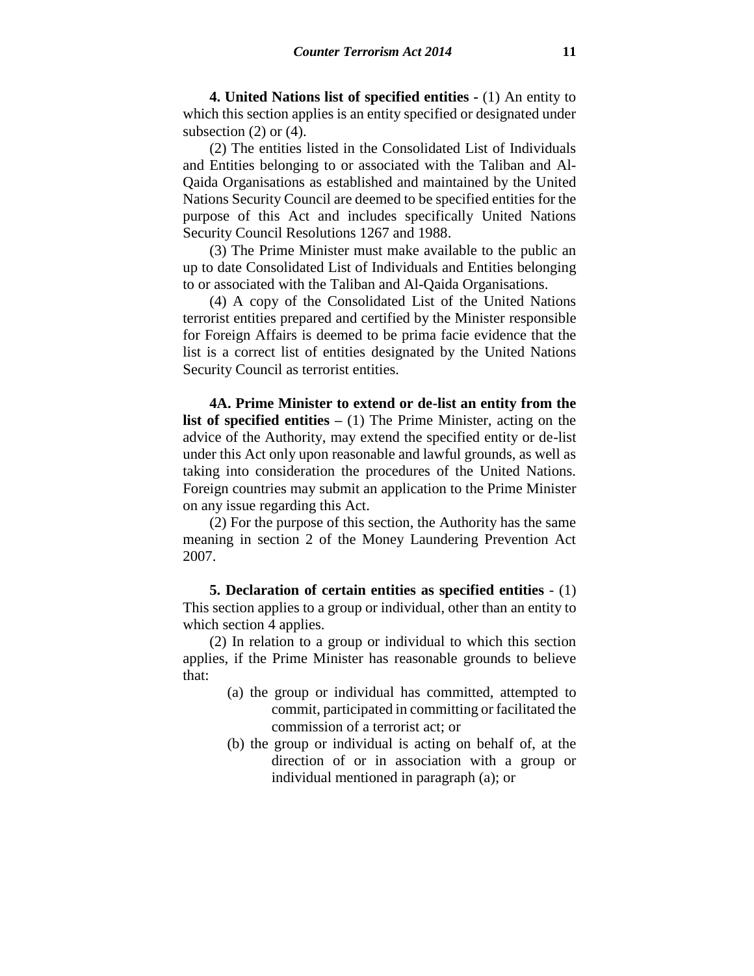**4. United Nations list of specified entities -** (1) An entity to which this section applies is an entity specified or designated under subsection  $(2)$  or  $(4)$ .

(2) The entities listed in the Consolidated List of Individuals and Entities belonging to or associated with the Taliban and Al-Qaida Organisations as established and maintained by the United Nations Security Council are deemed to be specified entities for the purpose of this Act and includes specifically United Nations Security Council Resolutions 1267 and 1988.

(3) The Prime Minister must make available to the public an up to date Consolidated List of Individuals and Entities belonging to or associated with the Taliban and Al-Qaida Organisations.

(4) A copy of the Consolidated List of the United Nations terrorist entities prepared and certified by the Minister responsible for Foreign Affairs is deemed to be prima facie evidence that the list is a correct list of entities designated by the United Nations Security Council as terrorist entities.

**4A. Prime Minister to extend or de-list an entity from the list of specified entities –** (1) The Prime Minister, acting on the advice of the Authority, may extend the specified entity or de-list under this Act only upon reasonable and lawful grounds, as well as taking into consideration the procedures of the United Nations. Foreign countries may submit an application to the Prime Minister on any issue regarding this Act.

(2) For the purpose of this section, the Authority has the same meaning in section 2 of the Money Laundering Prevention Act 2007.

**5. Declaration of certain entities as specified entities** - (1) This section applies to a group or individual, other than an entity to which section 4 applies.

(2) In relation to a group or individual to which this section applies, if the Prime Minister has reasonable grounds to believe that:

- (a) the group or individual has committed, attempted to commit, participated in committing or facilitated the commission of a terrorist act; or
- (b) the group or individual is acting on behalf of, at the direction of or in association with a group or individual mentioned in paragraph (a); or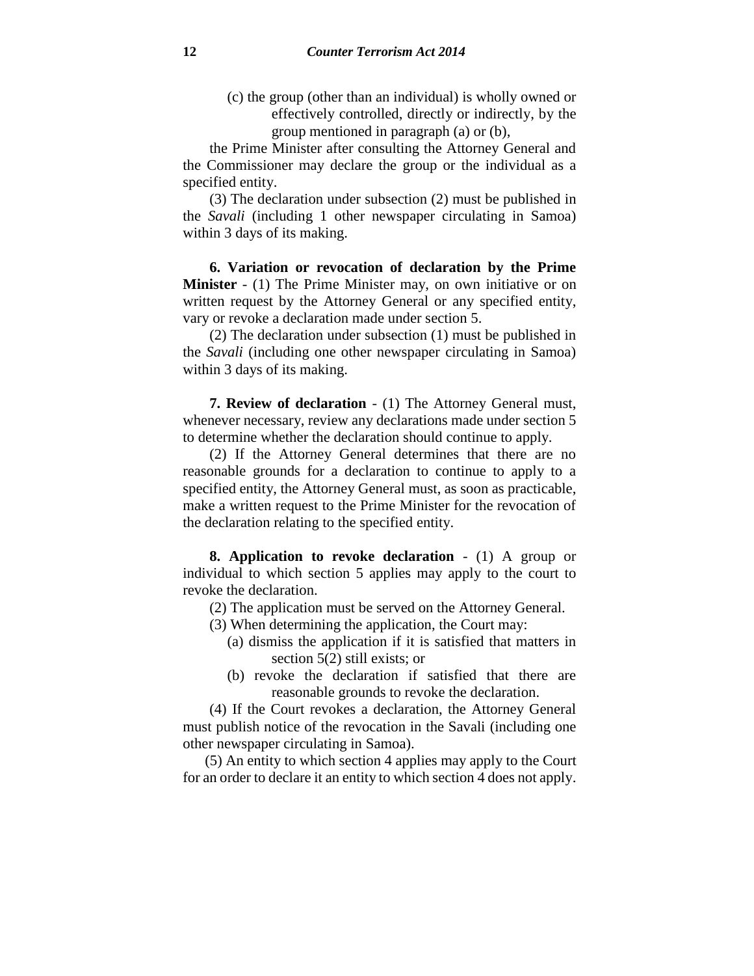(c) the group (other than an individual) is wholly owned or effectively controlled, directly or indirectly, by the group mentioned in paragraph (a) or (b),

the Prime Minister after consulting the Attorney General and the Commissioner may declare the group or the individual as a specified entity.

(3) The declaration under subsection (2) must be published in the *Savali* (including 1 other newspaper circulating in Samoa) within 3 days of its making.

**6. Variation or revocation of declaration by the Prime Minister** - (1) The Prime Minister may, on own initiative or on written request by the Attorney General or any specified entity, vary or revoke a declaration made under section 5.

(2) The declaration under subsection (1) must be published in the *Savali* (including one other newspaper circulating in Samoa) within 3 days of its making.

**7. Review of declaration** - (1) The Attorney General must, whenever necessary, review any declarations made under section 5 to determine whether the declaration should continue to apply.

(2) If the Attorney General determines that there are no reasonable grounds for a declaration to continue to apply to a specified entity, the Attorney General must, as soon as practicable, make a written request to the Prime Minister for the revocation of the declaration relating to the specified entity.

**8. Application to revoke declaration** - (1) A group or individual to which section 5 applies may apply to the court to revoke the declaration.

(2) The application must be served on the Attorney General.

- (3) When determining the application, the Court may:
	- (a) dismiss the application if it is satisfied that matters in section 5(2) still exists; or
	- (b) revoke the declaration if satisfied that there are reasonable grounds to revoke the declaration.

(4) If the Court revokes a declaration, the Attorney General must publish notice of the revocation in the Savali (including one other newspaper circulating in Samoa).

(5) An entity to which section 4 applies may apply to the Court for an order to declare it an entity to which section 4 does not apply.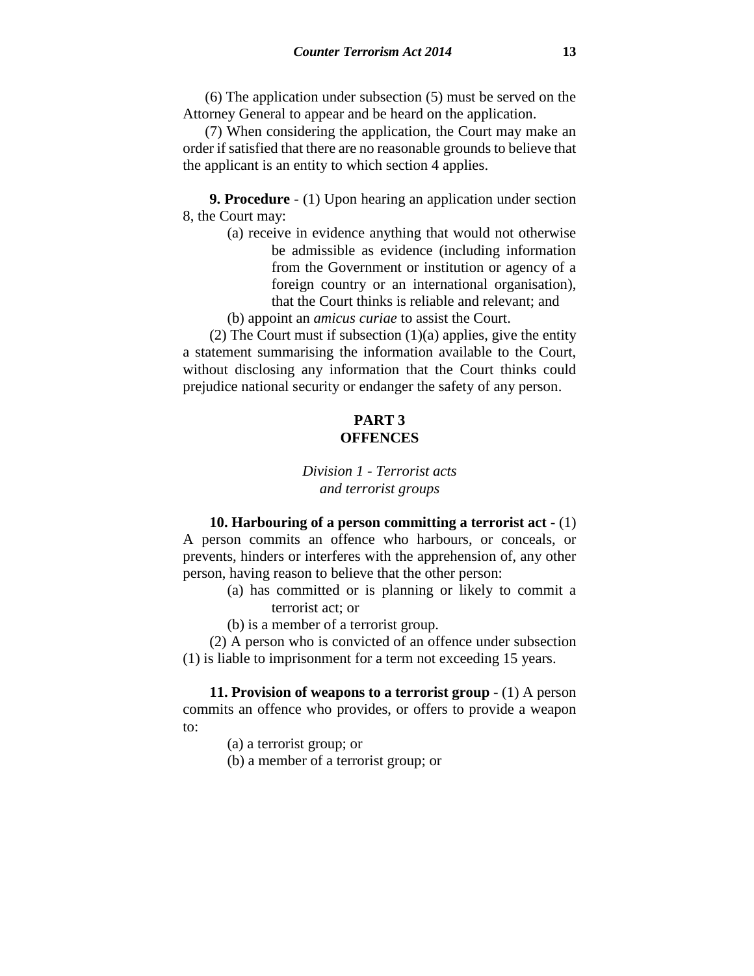(6) The application under subsection (5) must be served on the Attorney General to appear and be heard on the application.

(7) When considering the application, the Court may make an order if satisfied that there are no reasonable grounds to believe that the applicant is an entity to which section 4 applies.

**9. Procedure** - (1) Upon hearing an application under section 8, the Court may:

> (a) receive in evidence anything that would not otherwise be admissible as evidence (including information from the Government or institution or agency of a foreign country or an international organisation), that the Court thinks is reliable and relevant; and

(b) appoint an *amicus curiae* to assist the Court.

(2) The Court must if subsection  $(1)(a)$  applies, give the entity a statement summarising the information available to the Court, without disclosing any information that the Court thinks could prejudice national security or endanger the safety of any person.

## **PART 3 OFFENCES**

# *Division 1 - Terrorist acts and terrorist groups*

**10. Harbouring of a person committing a terrorist act** - (1) A person commits an offence who harbours, or conceals, or prevents, hinders or interferes with the apprehension of, any other person, having reason to believe that the other person:

- (a) has committed or is planning or likely to commit a terrorist act; or
- (b) is a member of a terrorist group.

(2) A person who is convicted of an offence under subsection (1) is liable to imprisonment for a term not exceeding 15 years.

**11. Provision of weapons to a terrorist group** - (1) A person commits an offence who provides, or offers to provide a weapon to:

(a) a terrorist group; or

(b) a member of a terrorist group; or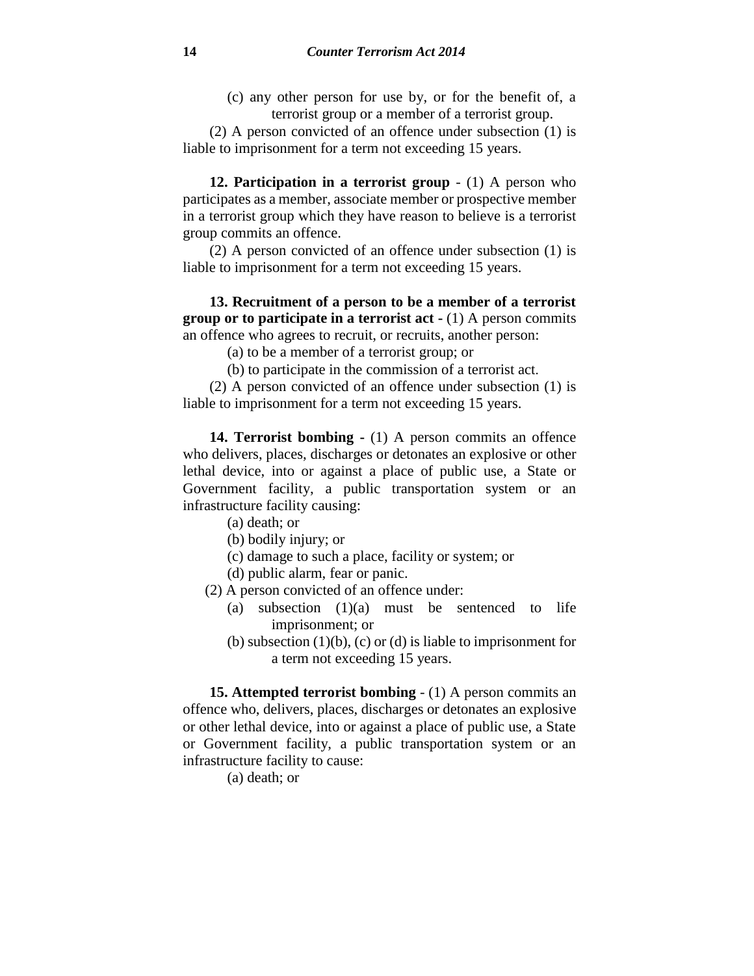(c) any other person for use by, or for the benefit of, a terrorist group or a member of a terrorist group.

(2) A person convicted of an offence under subsection (1) is liable to imprisonment for a term not exceeding 15 years.

**12. Participation in a terrorist group** - (1) A person who participates as a member, associate member or prospective member in a terrorist group which they have reason to believe is a terrorist group commits an offence.

(2) A person convicted of an offence under subsection (1) is liable to imprisonment for a term not exceeding 15 years.

**13. Recruitment of a person to be a member of a terrorist group or to participate in a terrorist act -** (1) A person commits an offence who agrees to recruit, or recruits, another person:

(a) to be a member of a terrorist group; or

(b) to participate in the commission of a terrorist act.

(2) A person convicted of an offence under subsection (1) is liable to imprisonment for a term not exceeding 15 years.

**14. Terrorist bombing -** (1) A person commits an offence who delivers, places, discharges or detonates an explosive or other lethal device, into or against a place of public use, a State or Government facility, a public transportation system or an infrastructure facility causing:

- (a) death; or
- (b) bodily injury; or
- (c) damage to such a place, facility or system; or
- (d) public alarm, fear or panic.
- (2) A person convicted of an offence under:
	- (a) subsection (1)(a) must be sentenced to life imprisonment; or
	- (b) subsection  $(1)(b)$ ,  $(c)$  or  $(d)$  is liable to imprisonment for a term not exceeding 15 years.

**15. Attempted terrorist bombing** - (1) A person commits an offence who, delivers, places, discharges or detonates an explosive or other lethal device, into or against a place of public use, a State or Government facility, a public transportation system or an infrastructure facility to cause:

(a) death; or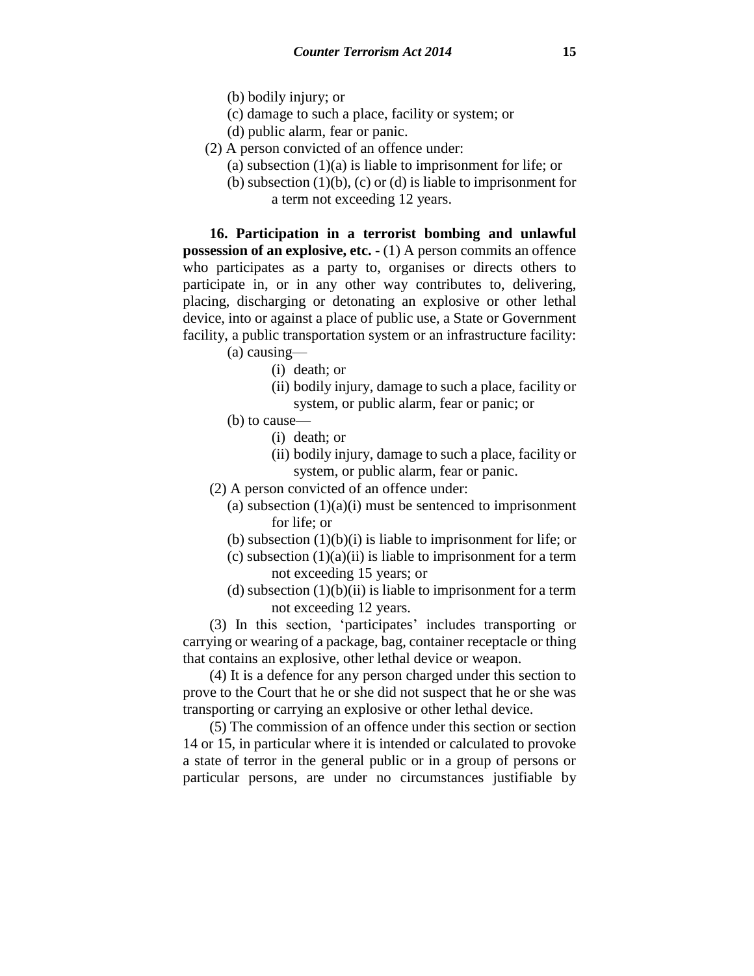- (b) bodily injury; or
- (c) damage to such a place, facility or system; or
- (d) public alarm, fear or panic.
- (2) A person convicted of an offence under:
	- (a) subsection  $(1)(a)$  is liable to imprisonment for life; or
	- (b) subsection  $(1)(b)$ ,  $(c)$  or  $(d)$  is liable to imprisonment for a term not exceeding 12 years.

**16. Participation in a terrorist bombing and unlawful possession of an explosive, etc.** - (1) A person commits an offence who participates as a party to, organises or directs others to participate in, or in any other way contributes to, delivering, placing, discharging or detonating an explosive or other lethal device, into or against a place of public use, a State or Government facility, a public transportation system or an infrastructure facility:

- (a) causing—
	- (i) death; or
	- (ii) bodily injury, damage to such a place, facility or system, or public alarm, fear or panic; or
- (b) to cause—
	- (i) death; or
	- (ii) bodily injury, damage to such a place, facility or system, or public alarm, fear or panic.
- (2) A person convicted of an offence under:
	- (a) subsection  $(1)(a)(i)$  must be sentenced to imprisonment for life; or
	- (b) subsection  $(1)(b)(i)$  is liable to imprisonment for life; or
	- (c) subsection  $(1)(a)(ii)$  is liable to imprisonment for a term not exceeding 15 years; or
	- (d) subsection  $(1)(b)(ii)$  is liable to imprisonment for a term not exceeding 12 years.

(3) In this section, 'participates' includes transporting or carrying or wearing of a package, bag, container receptacle or thing that contains an explosive, other lethal device or weapon.

(4) It is a defence for any person charged under this section to prove to the Court that he or she did not suspect that he or she was transporting or carrying an explosive or other lethal device.

(5) The commission of an offence under this section or section 14 or 15, in particular where it is intended or calculated to provoke a state of terror in the general public or in a group of persons or particular persons, are under no circumstances justifiable by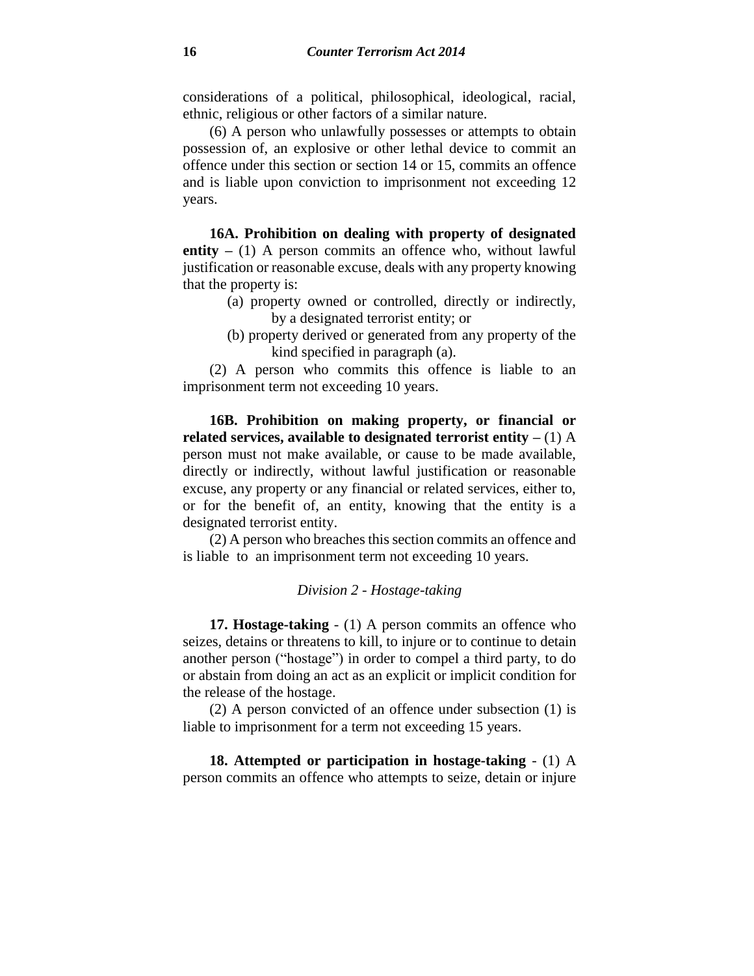considerations of a political, philosophical, ideological, racial, ethnic, religious or other factors of a similar nature.

(6) A person who unlawfully possesses or attempts to obtain possession of, an explosive or other lethal device to commit an offence under this section or section 14 or 15, commits an offence and is liable upon conviction to imprisonment not exceeding 12 years.

**16A. Prohibition on dealing with property of designated entity –** (1) A person commits an offence who, without lawful justification or reasonable excuse, deals with any property knowing that the property is:

- (a) property owned or controlled, directly or indirectly, by a designated terrorist entity; or
- (b) property derived or generated from any property of the kind specified in paragraph (a).

(2) A person who commits this offence is liable to an imprisonment term not exceeding 10 years.

**16B. Prohibition on making property, or financial or related services, available to designated terrorist entity –** (1) A person must not make available, or cause to be made available, directly or indirectly, without lawful justification or reasonable excuse, any property or any financial or related services, either to, or for the benefit of, an entity, knowing that the entity is a designated terrorist entity.

(2) A person who breaches this section commits an offence and is liable to an imprisonment term not exceeding 10 years.

### *Division 2 - Hostage-taking*

**17. Hostage-taking** - (1) A person commits an offence who seizes, detains or threatens to kill, to injure or to continue to detain another person ("hostage") in order to compel a third party, to do or abstain from doing an act as an explicit or implicit condition for the release of the hostage.

(2) A person convicted of an offence under subsection (1) is liable to imprisonment for a term not exceeding 15 years.

**18. Attempted or participation in hostage-taking** - (1) A person commits an offence who attempts to seize, detain or injure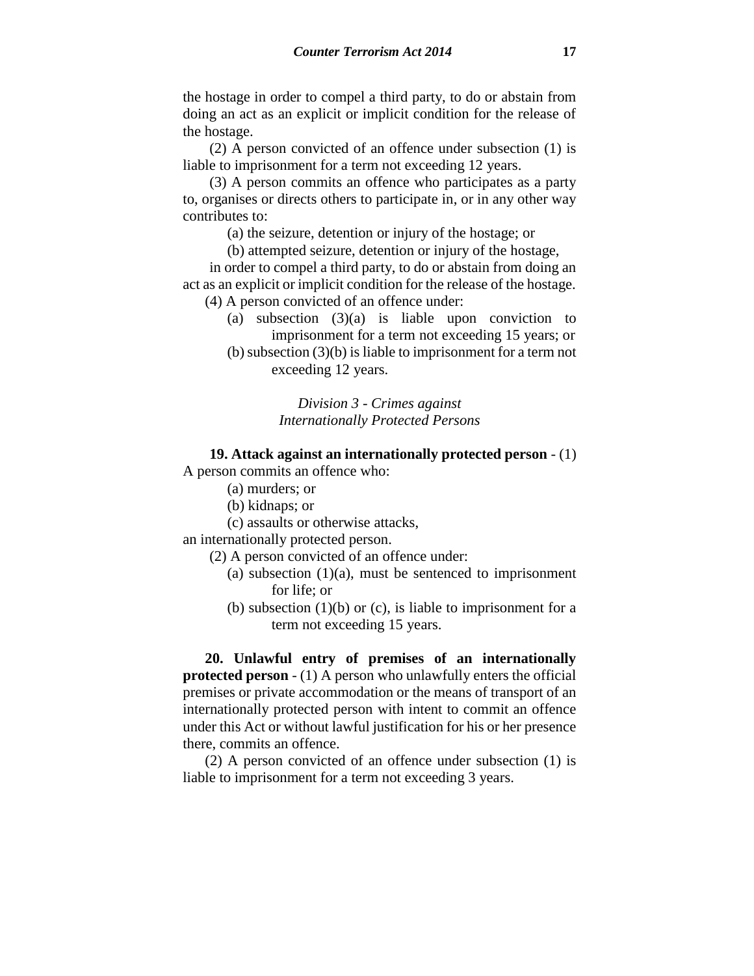the hostage in order to compel a third party, to do or abstain from doing an act as an explicit or implicit condition for the release of the hostage.

(2) A person convicted of an offence under subsection (1) is liable to imprisonment for a term not exceeding 12 years.

(3) A person commits an offence who participates as a party to, organises or directs others to participate in, or in any other way contributes to:

(a) the seizure, detention or injury of the hostage; or

(b) attempted seizure, detention or injury of the hostage,

in order to compel a third party, to do or abstain from doing an act as an explicit or implicit condition for the release of the hostage. (4) A person convicted of an offence under:

- - (a) subsection  $(3)(a)$  is liable upon conviction to imprisonment for a term not exceeding 15 years; or
	- (b) subsection (3)(b) is liable to imprisonment for a term not exceeding 12 years.

## *Division 3 - Crimes against Internationally Protected Persons*

**19. Attack against an internationally protected person** - (1) A person commits an offence who:

- (a) murders; or
- (b) kidnaps; or
- (c) assaults or otherwise attacks,

an internationally protected person.

- (2) A person convicted of an offence under:
	- (a) subsection  $(1)(a)$ , must be sentenced to imprisonment for life; or
	- (b) subsection  $(1)(b)$  or  $(c)$ , is liable to imprisonment for a term not exceeding 15 years.

**20. Unlawful entry of premises of an internationally protected person** - (1) A person who unlawfully enters the official premises or private accommodation or the means of transport of an internationally protected person with intent to commit an offence under this Act or without lawful justification for his or her presence there, commits an offence.

(2) A person convicted of an offence under subsection (1) is liable to imprisonment for a term not exceeding 3 years.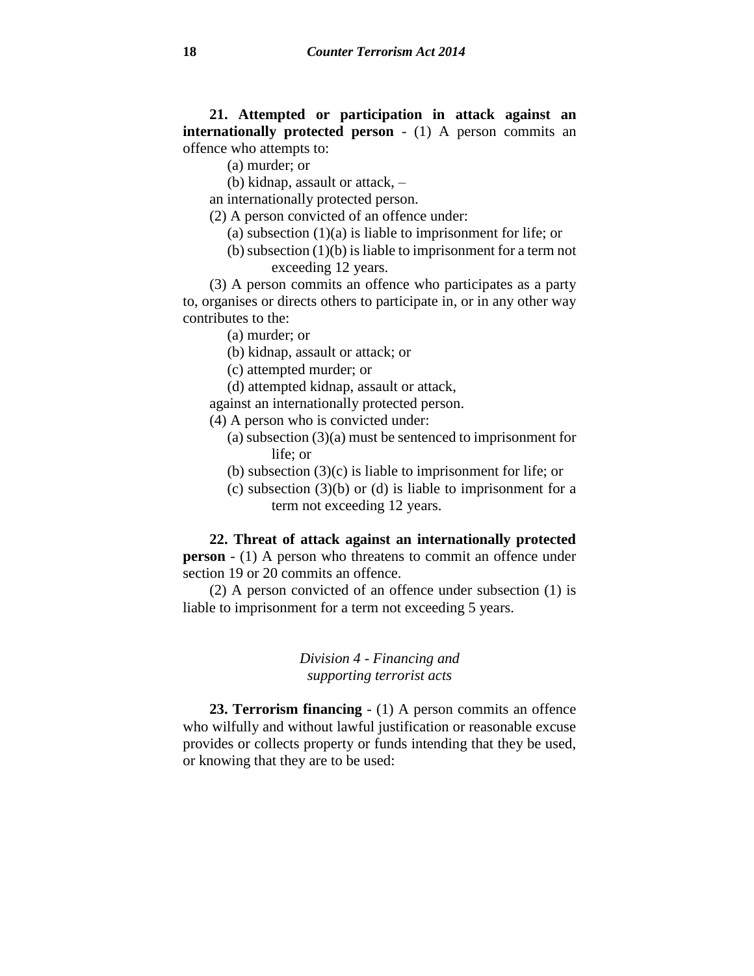**21. Attempted or participation in attack against an internationally protected person** - (1) A person commits an offence who attempts to:

- (a) murder; or
- (b) kidnap, assault or attack, –

an internationally protected person.

- (2) A person convicted of an offence under:
	- (a) subsection  $(1)(a)$  is liable to imprisonment for life; or
	- (b) subsection (1)(b) is liable to imprisonment for a term not exceeding 12 years.

(3) A person commits an offence who participates as a party to, organises or directs others to participate in, or in any other way contributes to the:

- (a) murder; or
- (b) kidnap, assault or attack; or
- (c) attempted murder; or
- (d) attempted kidnap, assault or attack,
- against an internationally protected person.
- (4) A person who is convicted under:
	- (a) subsection (3)(a) must be sentenced to imprisonment for life; or
	- (b) subsection (3)(c) is liable to imprisonment for life; or
	- (c) subsection (3)(b) or (d) is liable to imprisonment for a term not exceeding 12 years.

**22. Threat of attack against an internationally protected person** - (1) A person who threatens to commit an offence under section 19 or 20 commits an offence.

(2) A person convicted of an offence under subsection (1) is liable to imprisonment for a term not exceeding 5 years.

## *Division 4 - Financing and supporting terrorist acts*

**23. Terrorism financing** - (1) A person commits an offence who wilfully and without lawful justification or reasonable excuse provides or collects property or funds intending that they be used, or knowing that they are to be used: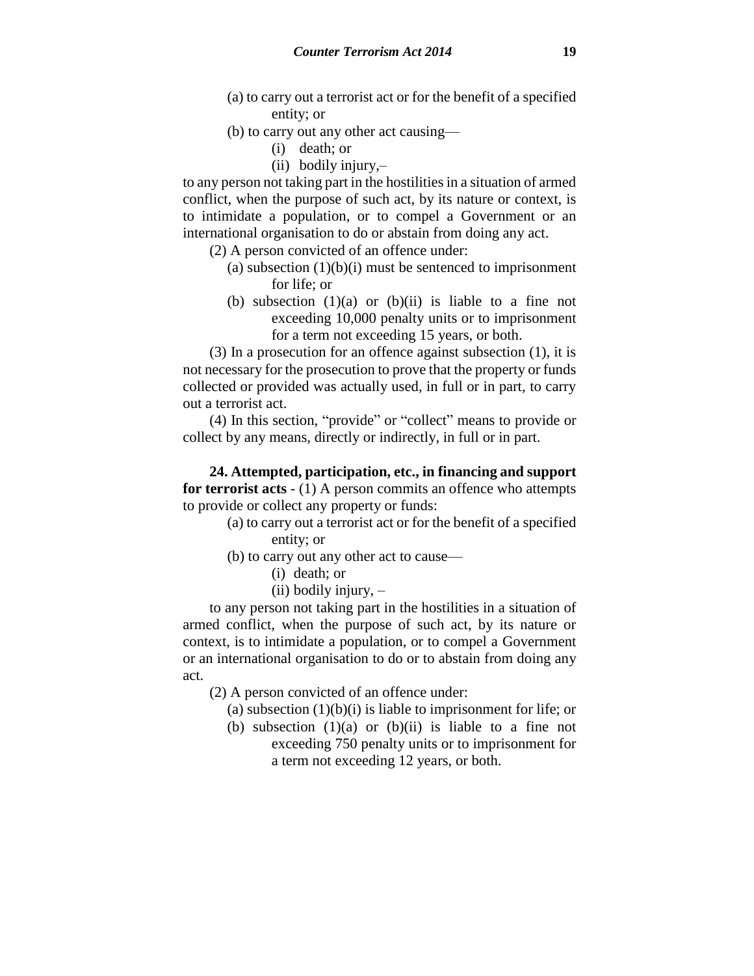- (a) to carry out a terrorist act or for the benefit of a specified entity; or
- (b) to carry out any other act causing—
	- (i) death; or
	- (ii) bodily injury,–

to any person not taking part in the hostilities in a situation of armed conflict, when the purpose of such act, by its nature or context, is to intimidate a population, or to compel a Government or an international organisation to do or abstain from doing any act.

- (2) A person convicted of an offence under:
	- (a) subsection  $(1)(b)(i)$  must be sentenced to imprisonment for life; or
	- (b) subsection  $(1)(a)$  or  $(b)(ii)$  is liable to a fine not exceeding 10,000 penalty units or to imprisonment for a term not exceeding 15 years, or both.

(3) In a prosecution for an offence against subsection (1), it is not necessary for the prosecution to prove that the property or funds collected or provided was actually used, in full or in part, to carry out a terrorist act.

(4) In this section, "provide" or "collect" means to provide or collect by any means, directly or indirectly, in full or in part.

**24. Attempted, participation, etc., in financing and support for terrorist acts** - (1) A person commits an offence who attempts to provide or collect any property or funds:

- (a) to carry out a terrorist act or for the benefit of a specified entity; or
- (b) to carry out any other act to cause—
	- (i) death; or
	- $(ii)$  bodily injury,  $-$

to any person not taking part in the hostilities in a situation of armed conflict, when the purpose of such act, by its nature or context, is to intimidate a population, or to compel a Government or an international organisation to do or to abstain from doing any act.

(2) A person convicted of an offence under:

- (a) subsection  $(1)(b)(i)$  is liable to imprisonment for life; or
- (b) subsection  $(1)(a)$  or  $(b)(ii)$  is liable to a fine not exceeding 750 penalty units or to imprisonment for a term not exceeding 12 years, or both.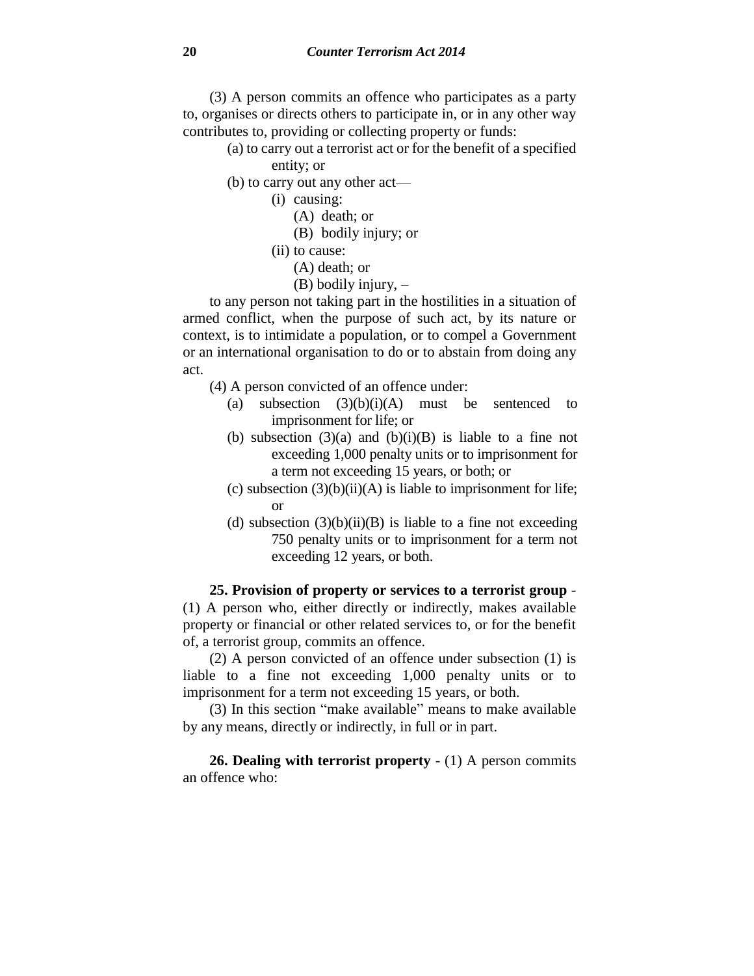(3) A person commits an offence who participates as a party to, organises or directs others to participate in, or in any other way contributes to, providing or collecting property or funds:

- (a) to carry out a terrorist act or for the benefit of a specified entity; or
- (b) to carry out any other act—
	- (i) causing:
		- (A) death; or
		- (B) bodily injury; or
	- (ii) to cause:
		- (A) death; or
		- (B) bodily injury, –

to any person not taking part in the hostilities in a situation of armed conflict, when the purpose of such act, by its nature or context, is to intimidate a population, or to compel a Government or an international organisation to do or to abstain from doing any act.

- (4) A person convicted of an offence under:
	- (a) subsection  $(3)(b)(i)(A)$  must be sentenced to imprisonment for life; or
	- (b) subsection  $(3)(a)$  and  $(b)(i)(B)$  is liable to a fine not exceeding 1,000 penalty units or to imprisonment for a term not exceeding 15 years, or both; or
	- (c) subsection  $(3)(b)(ii)(A)$  is liable to imprisonment for life; or
	- (d) subsection  $(3)(b)(ii)(B)$  is liable to a fine not exceeding 750 penalty units or to imprisonment for a term not exceeding 12 years, or both.

**25. Provision of property or services to a terrorist group** - (1) A person who, either directly or indirectly, makes available property or financial or other related services to, or for the benefit of, a terrorist group, commits an offence.

(2) A person convicted of an offence under subsection (1) is liable to a fine not exceeding 1,000 penalty units or to imprisonment for a term not exceeding 15 years, or both.

(3) In this section "make available" means to make available by any means, directly or indirectly, in full or in part.

**26. Dealing with terrorist property** - (1) A person commits an offence who: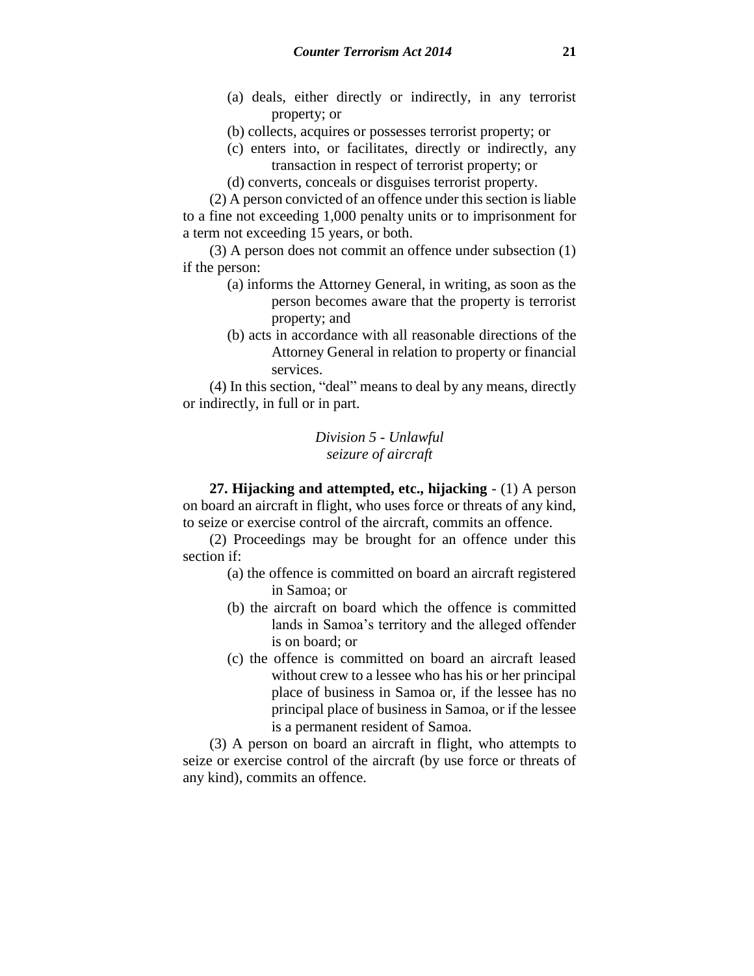- (a) deals, either directly or indirectly, in any terrorist property; or
- (b) collects, acquires or possesses terrorist property; or
- (c) enters into, or facilitates, directly or indirectly, any transaction in respect of terrorist property; or
- (d) converts, conceals or disguises terrorist property.

(2) A person convicted of an offence under this section is liable to a fine not exceeding 1,000 penalty units or to imprisonment for a term not exceeding 15 years, or both.

(3) A person does not commit an offence under subsection (1) if the person:

- (a) informs the Attorney General, in writing, as soon as the person becomes aware that the property is terrorist property; and
- (b) acts in accordance with all reasonable directions of the Attorney General in relation to property or financial services.

(4) In this section, "deal" means to deal by any means, directly or indirectly, in full or in part.

> *Division 5 - Unlawful seizure of aircraft*

**27. Hijacking and attempted, etc., hijacking** - (1) A person on board an aircraft in flight, who uses force or threats of any kind, to seize or exercise control of the aircraft, commits an offence.

(2) Proceedings may be brought for an offence under this section if:

- (a) the offence is committed on board an aircraft registered in Samoa; or
- (b) the aircraft on board which the offence is committed lands in Samoa's territory and the alleged offender is on board; or
- (c) the offence is committed on board an aircraft leased without crew to a lessee who has his or her principal place of business in Samoa or, if the lessee has no principal place of business in Samoa, or if the lessee is a permanent resident of Samoa.

(3) A person on board an aircraft in flight, who attempts to seize or exercise control of the aircraft (by use force or threats of any kind), commits an offence.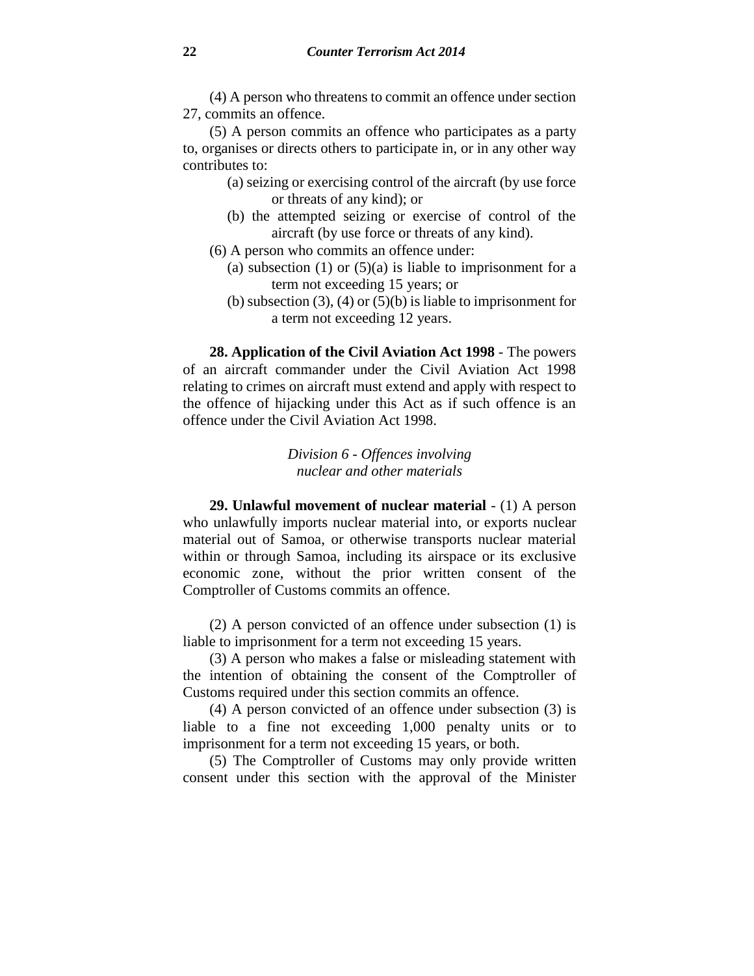(4) A person who threatens to commit an offence under section 27, commits an offence.

(5) A person commits an offence who participates as a party to, organises or directs others to participate in, or in any other way contributes to:

- (a) seizing or exercising control of the aircraft (by use force or threats of any kind); or
- (b) the attempted seizing or exercise of control of the aircraft (by use force or threats of any kind).
- (6) A person who commits an offence under:
	- (a) subsection (1) or  $(5)(a)$  is liable to imprisonment for a term not exceeding 15 years; or
	- (b) subsection  $(3)$ ,  $(4)$  or  $(5)(b)$  is liable to imprisonment for a term not exceeding 12 years.

**28. Application of the Civil Aviation Act 1998** - The powers of an aircraft commander under the Civil Aviation Act 1998 relating to crimes on aircraft must extend and apply with respect to the offence of hijacking under this Act as if such offence is an offence under the Civil Aviation Act 1998.

> *Division 6 - Offences involving nuclear and other materials*

**29. Unlawful movement of nuclear material** - (1) A person who unlawfully imports nuclear material into, or exports nuclear material out of Samoa, or otherwise transports nuclear material within or through Samoa, including its airspace or its exclusive economic zone, without the prior written consent of the Comptroller of Customs commits an offence.

(2) A person convicted of an offence under subsection (1) is liable to imprisonment for a term not exceeding 15 years.

(3) A person who makes a false or misleading statement with the intention of obtaining the consent of the Comptroller of Customs required under this section commits an offence.

(4) A person convicted of an offence under subsection (3) is liable to a fine not exceeding 1,000 penalty units or to imprisonment for a term not exceeding 15 years, or both.

(5) The Comptroller of Customs may only provide written consent under this section with the approval of the Minister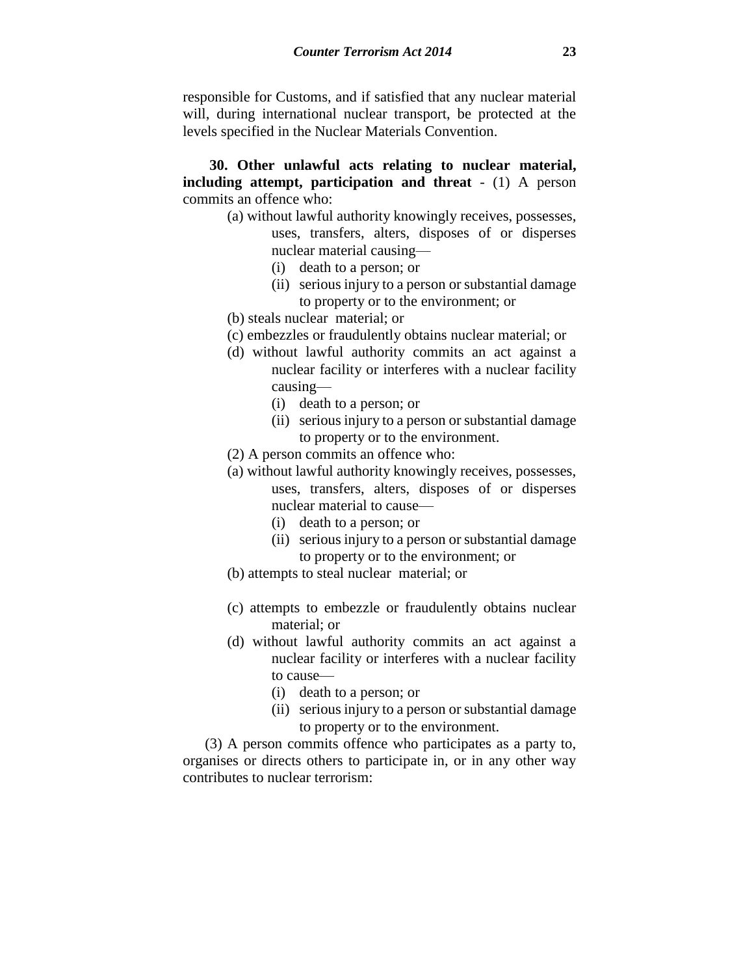responsible for Customs, and if satisfied that any nuclear material will, during international nuclear transport, be protected at the levels specified in the Nuclear Materials Convention.

**30. Other unlawful acts relating to nuclear material, including attempt, participation and threat** - (1) A person commits an offence who:

- (a) without lawful authority knowingly receives, possesses, uses, transfers, alters, disposes of or disperses nuclear material causing—
	- (i) death to a person; or
	- (ii) serious injury to a person or substantial damage to property or to the environment; or
- (b) steals nuclear material; or
- (c) embezzles or fraudulently obtains nuclear material; or
- (d) without lawful authority commits an act against a nuclear facility or interferes with a nuclear facility causing—
	- (i) death to a person; or
	- (ii) serious injury to a person or substantial damage to property or to the environment.
- (2) A person commits an offence who:
- (a) without lawful authority knowingly receives, possesses, uses, transfers, alters, disposes of or disperses nuclear material to cause—
	- (i) death to a person; or
	- (ii) serious injury to a person or substantial damage to property or to the environment; or
- (b) attempts to steal nuclear material; or
- (c) attempts to embezzle or fraudulently obtains nuclear material; or
- (d) without lawful authority commits an act against a nuclear facility or interferes with a nuclear facility to cause—
	- (i) death to a person; or
	- (ii) serious injury to a person or substantial damage to property or to the environment.

(3) A person commits offence who participates as a party to, organises or directs others to participate in, or in any other way contributes to nuclear terrorism: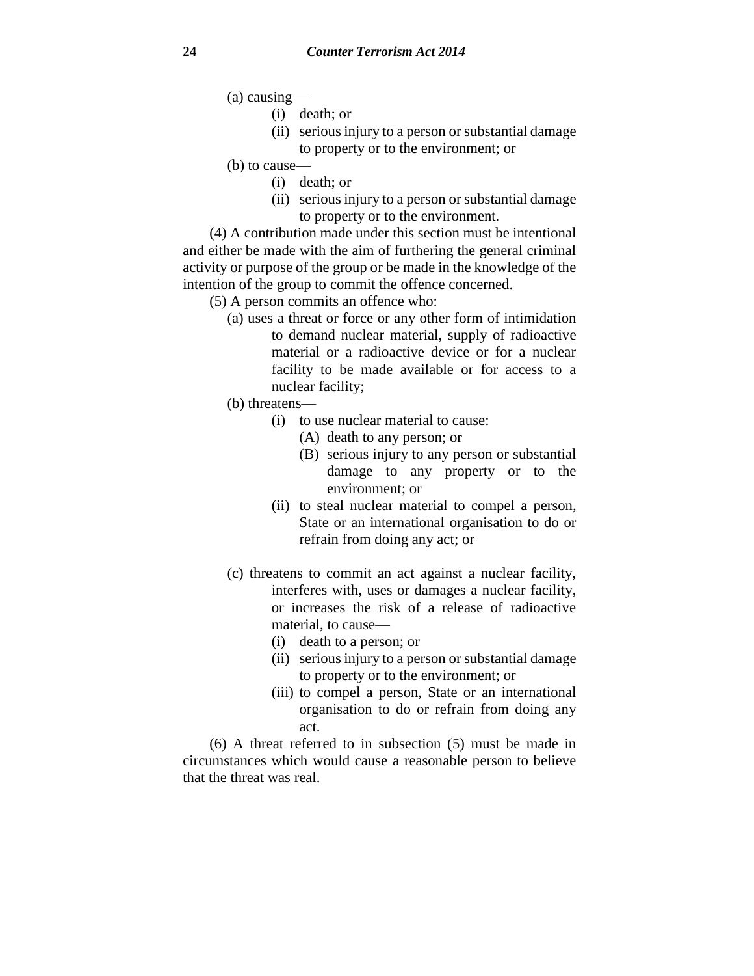(a) causing—

- (i) death; or
- (ii) serious injury to a person or substantial damage to property or to the environment; or
- (b) to cause—
	- (i) death; or
	- (ii) serious injury to a person or substantial damage to property or to the environment.

(4) A contribution made under this section must be intentional and either be made with the aim of furthering the general criminal activity or purpose of the group or be made in the knowledge of the intention of the group to commit the offence concerned.

(5) A person commits an offence who:

(a) uses a threat or force or any other form of intimidation to demand nuclear material, supply of radioactive material or a radioactive device or for a nuclear facility to be made available or for access to a nuclear facility;

(b) threatens—

- (i) to use nuclear material to cause:
	- (A) death to any person; or
	- (B) serious injury to any person or substantial damage to any property or to the environment; or
- (ii) to steal nuclear material to compel a person, State or an international organisation to do or refrain from doing any act; or
- (c) threatens to commit an act against a nuclear facility, interferes with, uses or damages a nuclear facility, or increases the risk of a release of radioactive material, to cause—
	- (i) death to a person; or
	- (ii) serious injury to a person or substantial damage to property or to the environment; or
	- (iii) to compel a person, State or an international organisation to do or refrain from doing any act.

(6) A threat referred to in subsection (5) must be made in circumstances which would cause a reasonable person to believe that the threat was real.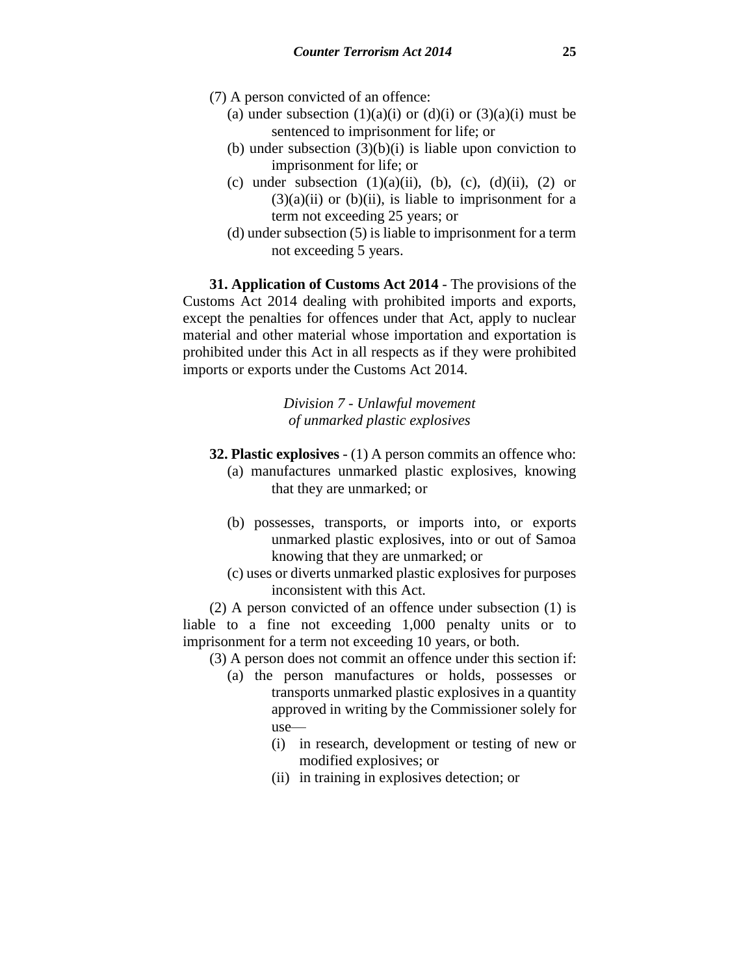- (7) A person convicted of an offence:
	- (a) under subsection  $(1)(a)(i)$  or  $(d)(i)$  or  $(3)(a)(i)$  must be sentenced to imprisonment for life; or
	- (b) under subsection  $(3)(b)(i)$  is liable upon conviction to imprisonment for life; or
	- (c) under subsection  $(1)(a)(ii)$ ,  $(b)$ ,  $(c)$ ,  $(d)(ii)$ ,  $(2)$  or  $(3)(a)(ii)$  or  $(b)(ii)$ , is liable to imprisonment for a term not exceeding 25 years; or
	- (d) under subsection (5) is liable to imprisonment for a term not exceeding 5 years.

**31. Application of Customs Act 2014** - The provisions of the Customs Act 2014 dealing with prohibited imports and exports, except the penalties for offences under that Act, apply to nuclear material and other material whose importation and exportation is prohibited under this Act in all respects as if they were prohibited imports or exports under the Customs Act 2014.

> *Division 7 - Unlawful movement of unmarked plastic explosives*

- **32. Plastic explosives** (1) A person commits an offence who:
	- (a) manufactures unmarked plastic explosives, knowing that they are unmarked; or
	- (b) possesses, transports, or imports into, or exports unmarked plastic explosives, into or out of Samoa knowing that they are unmarked; or
	- (c) uses or diverts unmarked plastic explosives for purposes inconsistent with this Act.

(2) A person convicted of an offence under subsection (1) is liable to a fine not exceeding 1,000 penalty units or to imprisonment for a term not exceeding 10 years, or both.

(3) A person does not commit an offence under this section if:

- (a) the person manufactures or holds, possesses or transports unmarked plastic explosives in a quantity approved in writing by the Commissioner solely for use—
	- (i) in research, development or testing of new or modified explosives; or
	- (ii) in training in explosives detection; or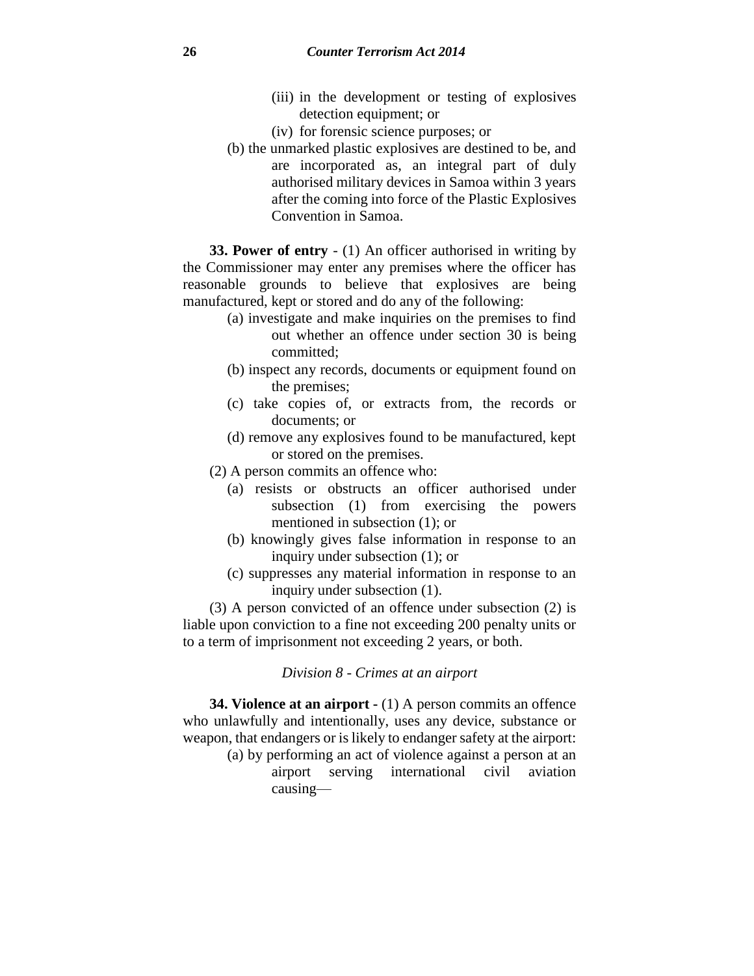- (iii) in the development or testing of explosives detection equipment; or
- (iv) for forensic science purposes; or
- (b) the unmarked plastic explosives are destined to be, and are incorporated as, an integral part of duly authorised military devices in Samoa within 3 years after the coming into force of the Plastic Explosives Convention in Samoa.

**33. Power of entry** - (1) An officer authorised in writing by the Commissioner may enter any premises where the officer has reasonable grounds to believe that explosives are being manufactured, kept or stored and do any of the following:

- (a) investigate and make inquiries on the premises to find out whether an offence under section 30 is being committed;
- (b) inspect any records, documents or equipment found on the premises;
- (c) take copies of, or extracts from, the records or documents; or
- (d) remove any explosives found to be manufactured, kept or stored on the premises.
- (2) A person commits an offence who:
	- (a) resists or obstructs an officer authorised under subsection (1) from exercising the powers mentioned in subsection (1); or
	- (b) knowingly gives false information in response to an inquiry under subsection (1); or
	- (c) suppresses any material information in response to an inquiry under subsection (1).

(3) A person convicted of an offence under subsection (2) is liable upon conviction to a fine not exceeding 200 penalty units or to a term of imprisonment not exceeding 2 years, or both.

### *Division 8 - Crimes at an airport*

**34. Violence at an airport -** (1) A person commits an offence who unlawfully and intentionally, uses any device, substance or weapon, that endangers or is likely to endanger safety at the airport:

(a) by performing an act of violence against a person at an airport serving international civil aviation causing—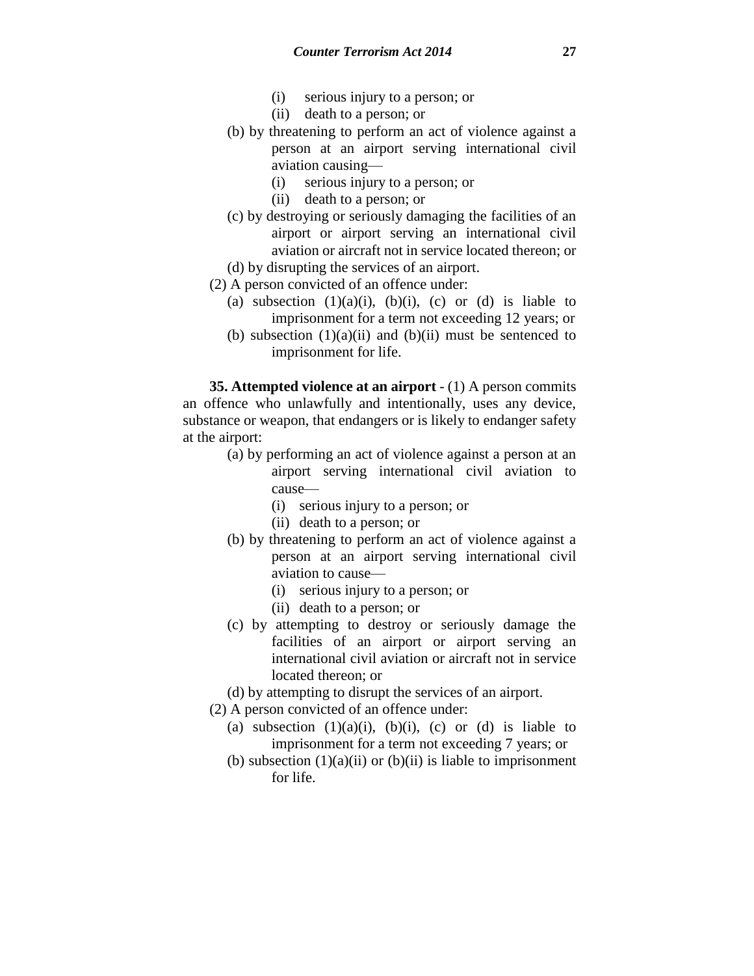- (i) serious injury to a person; or
- (ii) death to a person; or
- (b) by threatening to perform an act of violence against a person at an airport serving international civil aviation causing—
	- (i) serious injury to a person; or
	- (ii) death to a person; or
- (c) by destroying or seriously damaging the facilities of an airport or airport serving an international civil aviation or aircraft not in service located thereon; or
- (d) by disrupting the services of an airport.
- (2) A person convicted of an offence under:
	- (a) subsection  $(1)(a)(i)$ ,  $(b)(i)$ ,  $(c)$  or  $(d)$  is liable to imprisonment for a term not exceeding 12 years; or
	- (b) subsection  $(1)(a)(ii)$  and  $(b)(ii)$  must be sentenced to imprisonment for life.

**35. Attempted violence at an airport** - (1) A person commits an offence who unlawfully and intentionally, uses any device, substance or weapon, that endangers or is likely to endanger safety at the airport:

- (a) by performing an act of violence against a person at an airport serving international civil aviation to cause—
	- (i) serious injury to a person; or
	- (ii) death to a person; or
- (b) by threatening to perform an act of violence against a person at an airport serving international civil aviation to cause—
	- (i) serious injury to a person; or
	- (ii) death to a person; or
- (c) by attempting to destroy or seriously damage the facilities of an airport or airport serving an international civil aviation or aircraft not in service located thereon; or
- (d) by attempting to disrupt the services of an airport.
- (2) A person convicted of an offence under:
	- (a) subsection  $(1)(a)(i)$ ,  $(b)(i)$ ,  $(c)$  or  $(d)$  is liable to imprisonment for a term not exceeding 7 years; or
	- (b) subsection  $(1)(a)(ii)$  or  $(b)(ii)$  is liable to imprisonment for life.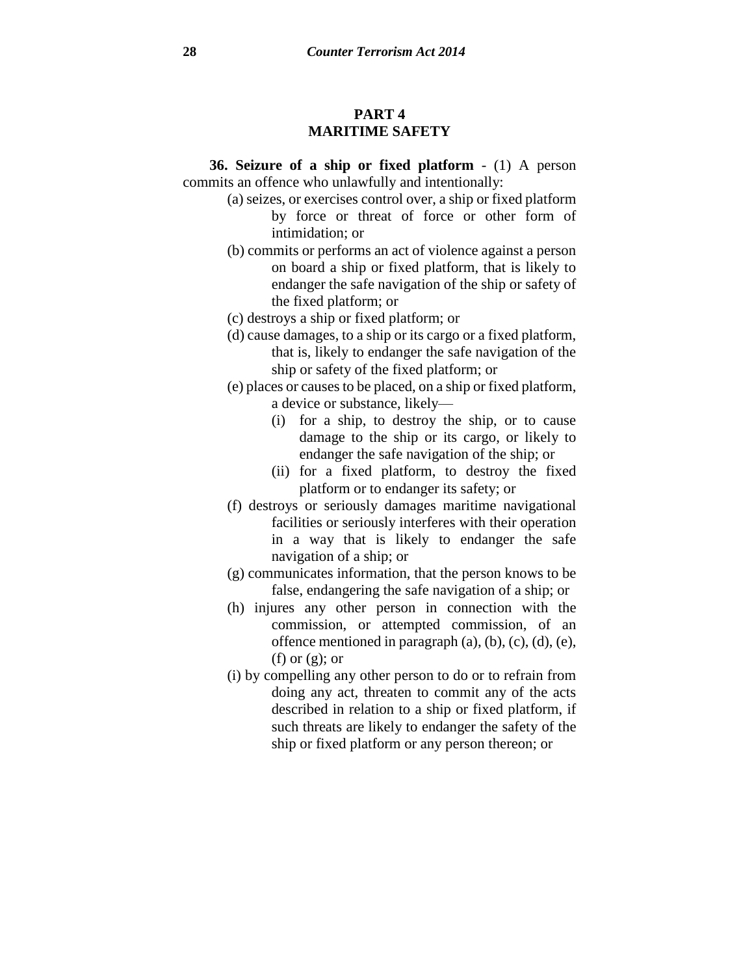# **PART 4 MARITIME SAFETY**

**36. Seizure of a ship or fixed platform** - (1) A person commits an offence who unlawfully and intentionally:

- (a) seizes, or exercises control over, a ship or fixed platform by force or threat of force or other form of intimidation; or
- (b) commits or performs an act of violence against a person on board a ship or fixed platform, that is likely to endanger the safe navigation of the ship or safety of the fixed platform; or
- (c) destroys a ship or fixed platform; or
- (d) cause damages, to a ship or its cargo or a fixed platform, that is, likely to endanger the safe navigation of the ship or safety of the fixed platform; or
- (e) places or causesto be placed, on a ship or fixed platform, a device or substance, likely—
	- (i) for a ship, to destroy the ship, or to cause damage to the ship or its cargo, or likely to endanger the safe navigation of the ship; or
	- (ii) for a fixed platform, to destroy the fixed platform or to endanger its safety; or
- (f) destroys or seriously damages maritime navigational facilities or seriously interferes with their operation in a way that is likely to endanger the safe navigation of a ship; or
- (g) communicates information, that the person knows to be false, endangering the safe navigation of a ship; or
- (h) injures any other person in connection with the commission, or attempted commission, of an offence mentioned in paragraph  $(a)$ ,  $(b)$ ,  $(c)$ ,  $(d)$ ,  $(e)$ , (f) or  $(g)$ ; or
- (i) by compelling any other person to do or to refrain from doing any act, threaten to commit any of the acts described in relation to a ship or fixed platform, if such threats are likely to endanger the safety of the ship or fixed platform or any person thereon; or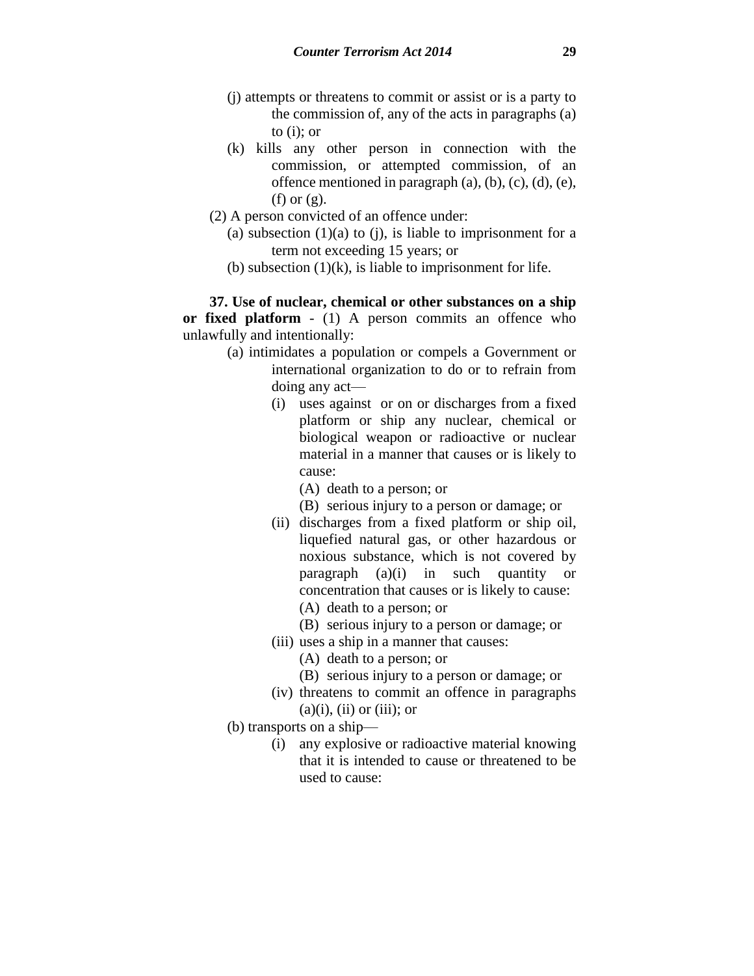- (j) attempts or threatens to commit or assist or is a party to the commission of, any of the acts in paragraphs (a) to (i); or
- (k) kills any other person in connection with the commission, or attempted commission, of an offence mentioned in paragraph  $(a)$ ,  $(b)$ ,  $(c)$ ,  $(d)$ ,  $(e)$ , (f) or  $(g)$ .
- (2) A person convicted of an offence under:
	- (a) subsection  $(1)(a)$  to  $(i)$ , is liable to imprisonment for a term not exceeding 15 years; or
	- (b) subsection  $(1)(k)$ , is liable to imprisonment for life.

**37. Use of nuclear, chemical or other substances on a ship or fixed platform** - (1) A person commits an offence who unlawfully and intentionally:

- (a) intimidates a population or compels a Government or international organization to do or to refrain from doing any act—
	- (i) uses against or on or discharges from a fixed platform or ship any nuclear, chemical or biological weapon or radioactive or nuclear material in a manner that causes or is likely to cause:
		- (A) death to a person; or
		- (B) serious injury to a person or damage; or
	- (ii) discharges from a fixed platform or ship oil, liquefied natural gas, or other hazardous or noxious substance, which is not covered by paragraph (a)(i) in such quantity or concentration that causes or is likely to cause: (A) death to a person; or
		- (B) serious injury to a person or damage; or
	- (iii) uses a ship in a manner that causes:
		- (A) death to a person; or
		- (B) serious injury to a person or damage; or
	- (iv) threatens to commit an offence in paragraphs  $(a)(i)$ ,  $(ii)$  or  $(iii)$ ; or
- (b) transports on a ship—
	- (i) any explosive or radioactive material knowing that it is intended to cause or threatened to be used to cause: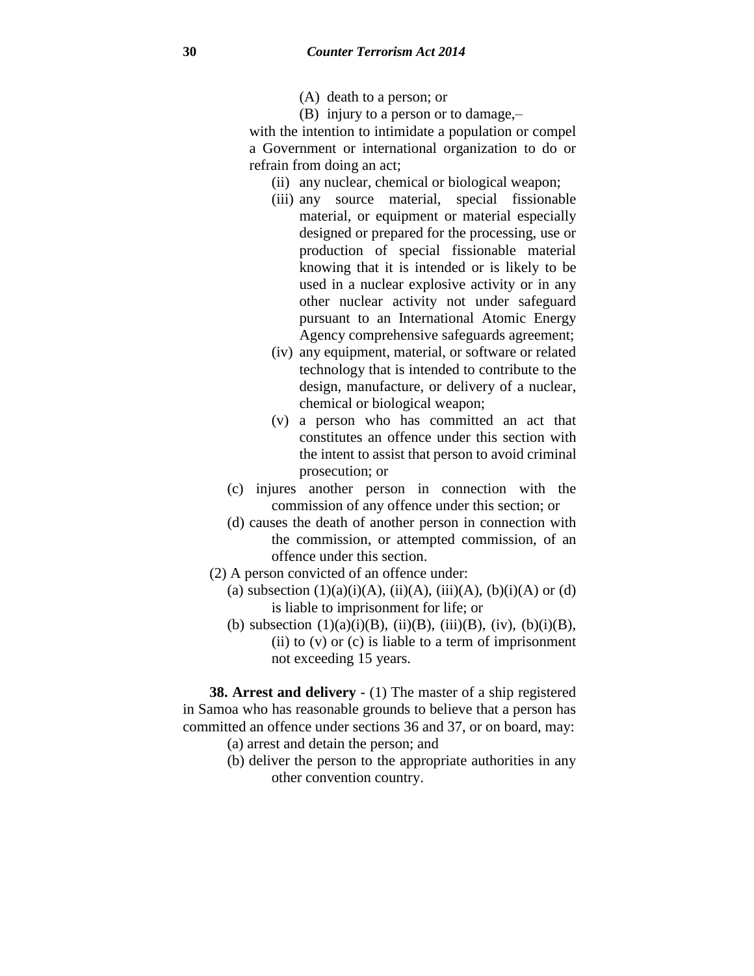- (A) death to a person; or
- (B) injury to a person or to damage,–

with the intention to intimidate a population or compel a Government or international organization to do or refrain from doing an act;

- (ii) any nuclear, chemical or biological weapon;
- (iii) any source material, special fissionable material, or equipment or material especially designed or prepared for the processing, use or production of special fissionable material knowing that it is intended or is likely to be used in a nuclear explosive activity or in any other nuclear activity not under safeguard pursuant to an International Atomic Energy Agency comprehensive safeguards agreement;
- (iv) any equipment, material, or software or related technology that is intended to contribute to the design, manufacture, or delivery of a nuclear, chemical or biological weapon;
- (v) a person who has committed an act that constitutes an offence under this section with the intent to assist that person to avoid criminal prosecution; or
- (c) injures another person in connection with the commission of any offence under this section; or
- (d) causes the death of another person in connection with the commission, or attempted commission, of an offence under this section.
- (2) A person convicted of an offence under:
	- (a) subsection  $(1)(a)(i)(A)$ ,  $(ii)(A)$ ,  $(iii)(A)$ ,  $(b)(i)(A)$  or  $(d)$ is liable to imprisonment for life; or
	- (b) subsection  $(1)(a)(i)(B)$ ,  $(ii)(B)$ ,  $(iii)(B)$ ,  $(iv)$ ,  $(b)(i)(B)$ , (ii) to  $(v)$  or  $(c)$  is liable to a term of imprisonment not exceeding 15 years.

**38. Arrest and delivery** - (1) The master of a ship registered in Samoa who has reasonable grounds to believe that a person has committed an offence under sections 36 and 37, or on board, may:

- (a) arrest and detain the person; and
- (b) deliver the person to the appropriate authorities in any other convention country.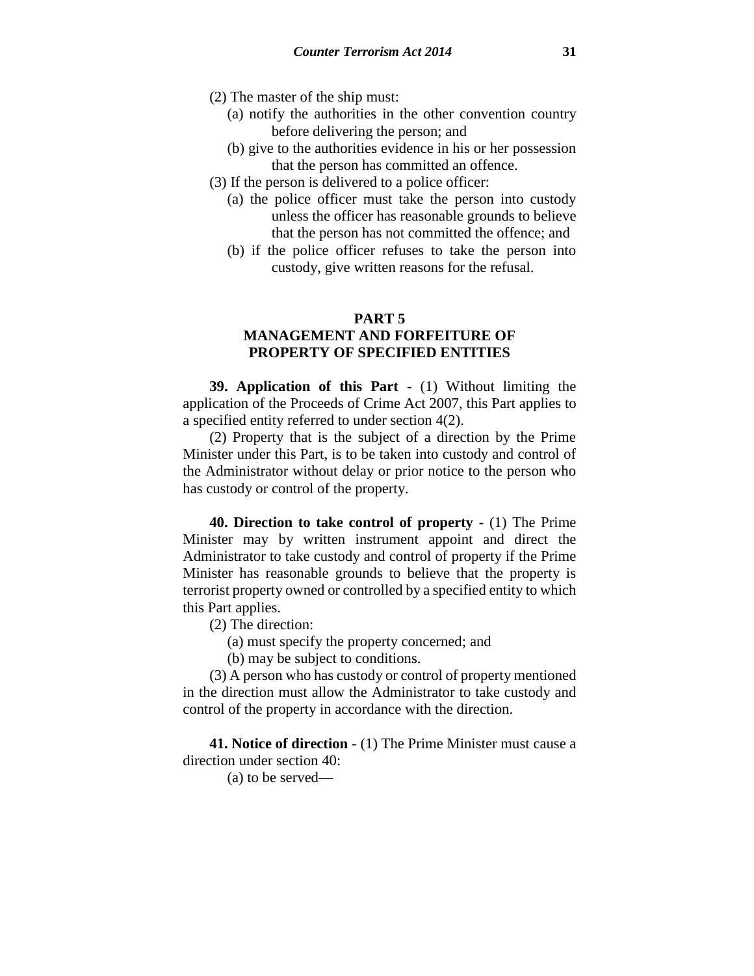- (2) The master of the ship must:
	- (a) notify the authorities in the other convention country before delivering the person; and
	- (b) give to the authorities evidence in his or her possession that the person has committed an offence.
- (3) If the person is delivered to a police officer:
	- (a) the police officer must take the person into custody unless the officer has reasonable grounds to believe that the person has not committed the offence; and
	- (b) if the police officer refuses to take the person into custody, give written reasons for the refusal.

### **PART 5**

# **MANAGEMENT AND FORFEITURE OF PROPERTY OF SPECIFIED ENTITIES**

**39. Application of this Part** - (1) Without limiting the application of the Proceeds of Crime Act 2007, this Part applies to a specified entity referred to under section 4(2).

(2) Property that is the subject of a direction by the Prime Minister under this Part, is to be taken into custody and control of the Administrator without delay or prior notice to the person who has custody or control of the property.

**40. Direction to take control of property** - (1) The Prime Minister may by written instrument appoint and direct the Administrator to take custody and control of property if the Prime Minister has reasonable grounds to believe that the property is terrorist property owned or controlled by a specified entity to which this Part applies.

(2) The direction:

(a) must specify the property concerned; and

(b) may be subject to conditions.

(3) A person who has custody or control of property mentioned in the direction must allow the Administrator to take custody and control of the property in accordance with the direction.

**41. Notice of direction** - (1) The Prime Minister must cause a direction under section 40:

(a) to be served—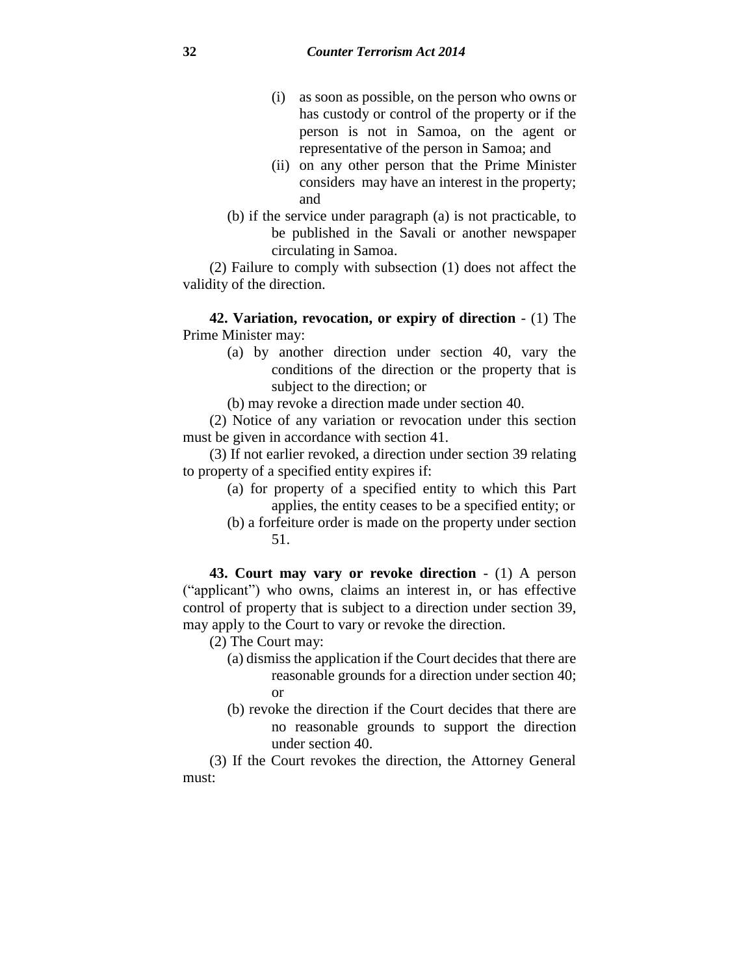- (i) as soon as possible, on the person who owns or has custody or control of the property or if the person is not in Samoa, on the agent or representative of the person in Samoa; and
- (ii) on any other person that the Prime Minister considers may have an interest in the property; and
- (b) if the service under paragraph (a) is not practicable, to be published in the Savali or another newspaper circulating in Samoa.

(2) Failure to comply with subsection (1) does not affect the validity of the direction.

**42. Variation, revocation, or expiry of direction** - (1) The Prime Minister may:

> (a) by another direction under section 40, vary the conditions of the direction or the property that is subject to the direction; or

(b) may revoke a direction made under section 40.

(2) Notice of any variation or revocation under this section must be given in accordance with section 41.

(3) If not earlier revoked, a direction under section 39 relating to property of a specified entity expires if:

- (a) for property of a specified entity to which this Part applies, the entity ceases to be a specified entity; or
- (b) a forfeiture order is made on the property under section 51.

**43. Court may vary or revoke direction** - (1) A person ("applicant") who owns, claims an interest in, or has effective control of property that is subject to a direction under section 39, may apply to the Court to vary or revoke the direction.

(2) The Court may:

- (a) dismiss the application if the Court decides that there are reasonable grounds for a direction under section 40; or
- (b) revoke the direction if the Court decides that there are no reasonable grounds to support the direction under section 40.

(3) If the Court revokes the direction, the Attorney General must: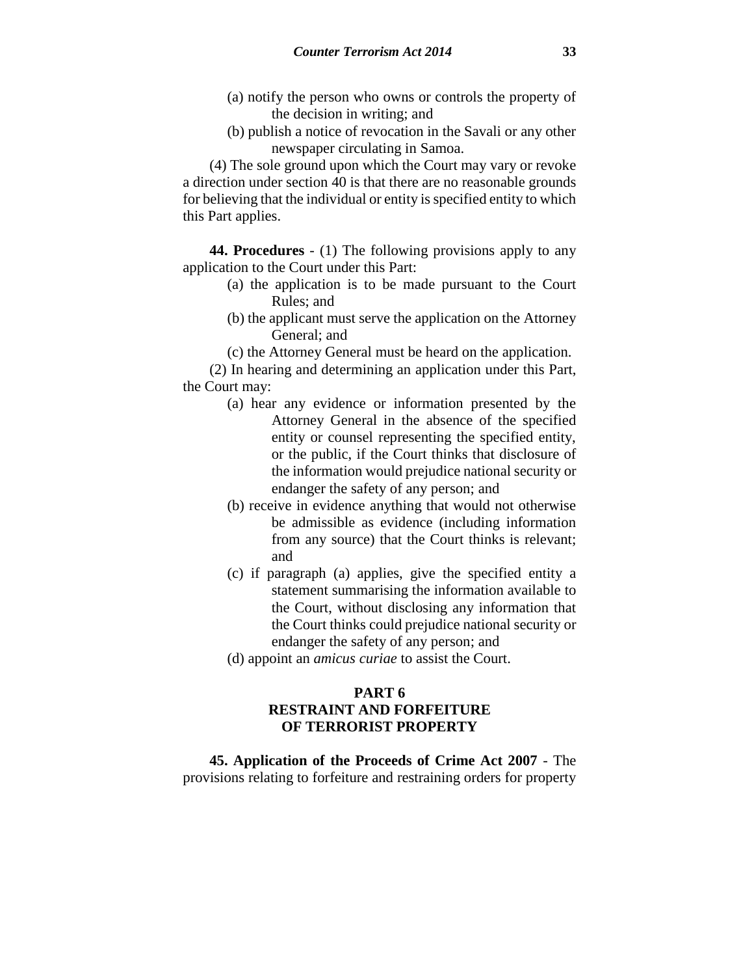- (a) notify the person who owns or controls the property of the decision in writing; and
- (b) publish a notice of revocation in the Savali or any other newspaper circulating in Samoa.

(4) The sole ground upon which the Court may vary or revoke a direction under section 40 is that there are no reasonable grounds for believing that the individual or entity is specified entity to which this Part applies.

**44. Procedures** - (1) The following provisions apply to any application to the Court under this Part:

- (a) the application is to be made pursuant to the Court Rules; and
- (b) the applicant must serve the application on the Attorney General; and
- (c) the Attorney General must be heard on the application.

(2) In hearing and determining an application under this Part, the Court may:

- (a) hear any evidence or information presented by the Attorney General in the absence of the specified entity or counsel representing the specified entity, or the public, if the Court thinks that disclosure of the information would prejudice national security or endanger the safety of any person; and
- (b) receive in evidence anything that would not otherwise be admissible as evidence (including information from any source) that the Court thinks is relevant; and
- (c) if paragraph (a) applies, give the specified entity a statement summarising the information available to the Court, without disclosing any information that the Court thinks could prejudice national security or endanger the safety of any person; and
- (d) appoint an *amicus curiae* to assist the Court.

# **PART 6 RESTRAINT AND FORFEITURE OF TERRORIST PROPERTY**

**45. Application of the Proceeds of Crime Act 2007** - The provisions relating to forfeiture and restraining orders for property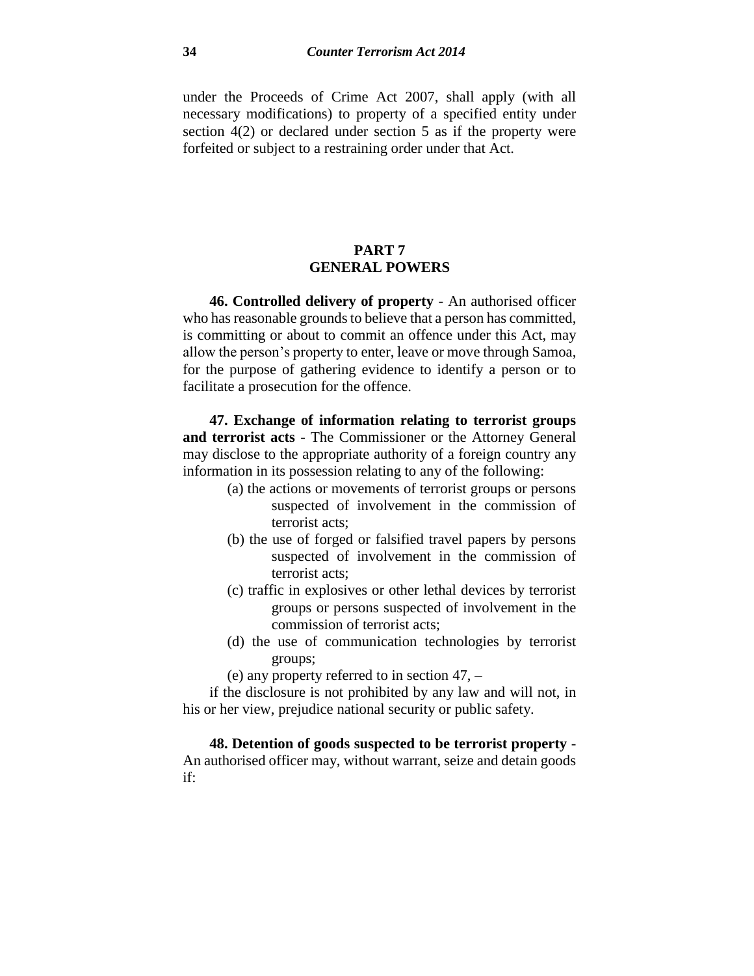under the Proceeds of Crime Act 2007, shall apply (with all necessary modifications) to property of a specified entity under section 4(2) or declared under section 5 as if the property were forfeited or subject to a restraining order under that Act.

## **PART 7 GENERAL POWERS**

**46. Controlled delivery of property** - An authorised officer who has reasonable grounds to believe that a person has committed, is committing or about to commit an offence under this Act, may allow the person's property to enter, leave or move through Samoa, for the purpose of gathering evidence to identify a person or to facilitate a prosecution for the offence.

**47. Exchange of information relating to terrorist groups and terrorist acts** - The Commissioner or the Attorney General may disclose to the appropriate authority of a foreign country any information in its possession relating to any of the following:

- (a) the actions or movements of terrorist groups or persons suspected of involvement in the commission of terrorist acts;
- (b) the use of forged or falsified travel papers by persons suspected of involvement in the commission of terrorist acts;
- (c) traffic in explosives or other lethal devices by terrorist groups or persons suspected of involvement in the commission of terrorist acts;
- (d) the use of communication technologies by terrorist groups;

(e) any property referred to in section 47, –

if the disclosure is not prohibited by any law and will not, in his or her view, prejudice national security or public safety.

**48. Detention of goods suspected to be terrorist property** - An authorised officer may, without warrant, seize and detain goods if: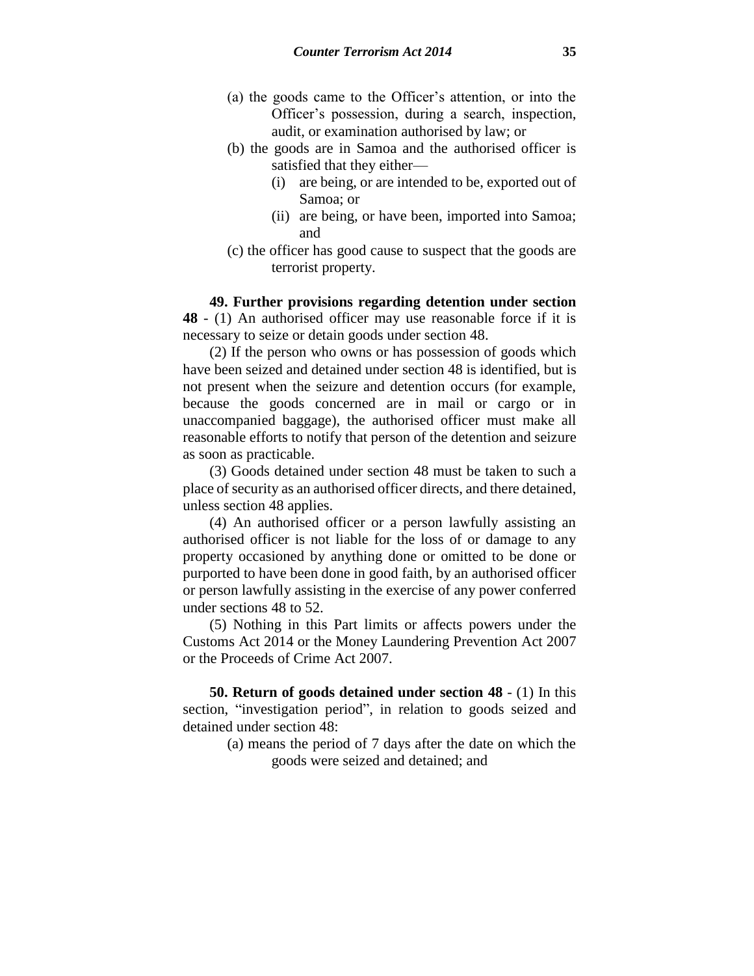- (a) the goods came to the Officer's attention, or into the Officer's possession, during a search, inspection, audit, or examination authorised by law; or
- (b) the goods are in Samoa and the authorised officer is satisfied that they either—
	- (i) are being, or are intended to be, exported out of Samoa; or
	- (ii) are being, or have been, imported into Samoa; and
- (c) the officer has good cause to suspect that the goods are terrorist property.

**49. Further provisions regarding detention under section 48** - (1) An authorised officer may use reasonable force if it is necessary to seize or detain goods under section 48.

(2) If the person who owns or has possession of goods which have been seized and detained under section 48 is identified, but is not present when the seizure and detention occurs (for example, because the goods concerned are in mail or cargo or in unaccompanied baggage), the authorised officer must make all reasonable efforts to notify that person of the detention and seizure as soon as practicable.

(3) Goods detained under section 48 must be taken to such a place of security as an authorised officer directs, and there detained, unless section 48 applies.

(4) An authorised officer or a person lawfully assisting an authorised officer is not liable for the loss of or damage to any property occasioned by anything done or omitted to be done or purported to have been done in good faith, by an authorised officer or person lawfully assisting in the exercise of any power conferred under sections 48 to 52.

(5) Nothing in this Part limits or affects powers under the Customs Act 2014 or the Money Laundering Prevention Act 2007 or the Proceeds of Crime Act 2007.

**50. Return of goods detained under section 48** - (1) In this section, "investigation period", in relation to goods seized and detained under section 48:

> (a) means the period of 7 days after the date on which the goods were seized and detained; and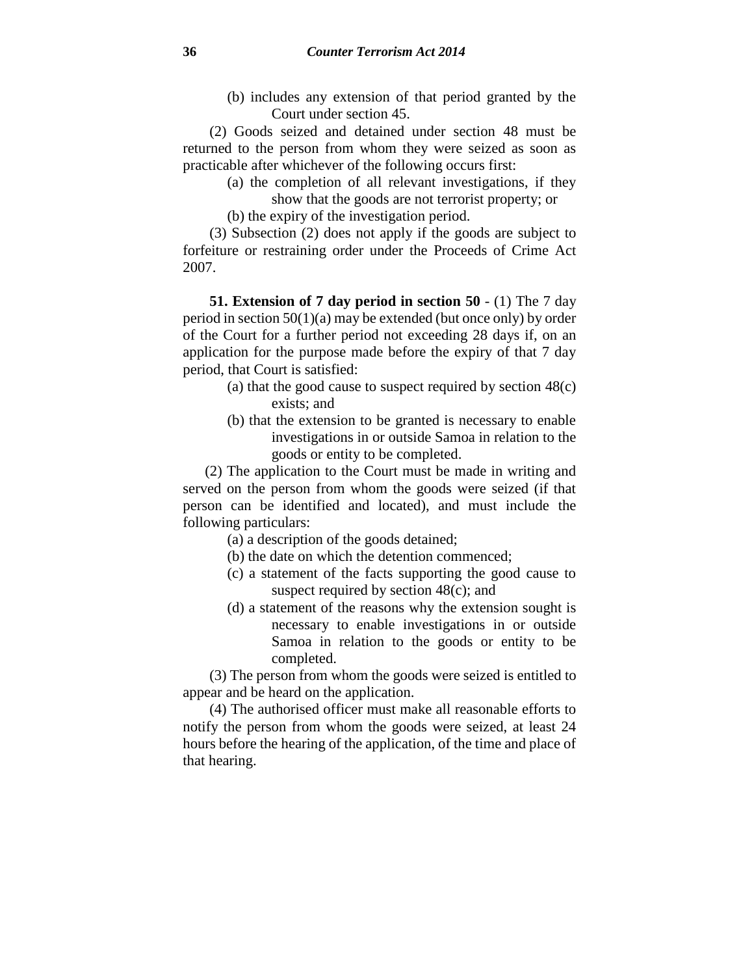(b) includes any extension of that period granted by the Court under section 45.

(2) Goods seized and detained under section 48 must be returned to the person from whom they were seized as soon as practicable after whichever of the following occurs first:

- (a) the completion of all relevant investigations, if they
- show that the goods are not terrorist property; or

(b) the expiry of the investigation period.

(3) Subsection (2) does not apply if the goods are subject to forfeiture or restraining order under the Proceeds of Crime Act 2007.

**51. Extension of 7 day period in section 50** - (1) The 7 day period in section  $50(1)(a)$  may be extended (but once only) by order of the Court for a further period not exceeding 28 days if, on an application for the purpose made before the expiry of that 7 day period, that Court is satisfied:

- (a) that the good cause to suspect required by section 48(c) exists; and
- (b) that the extension to be granted is necessary to enable investigations in or outside Samoa in relation to the goods or entity to be completed.

(2) The application to the Court must be made in writing and served on the person from whom the goods were seized (if that person can be identified and located), and must include the following particulars:

- (a) a description of the goods detained;
- (b) the date on which the detention commenced;
- (c) a statement of the facts supporting the good cause to suspect required by section 48(c); and
- (d) a statement of the reasons why the extension sought is necessary to enable investigations in or outside Samoa in relation to the goods or entity to be completed.

(3) The person from whom the goods were seized is entitled to appear and be heard on the application.

(4) The authorised officer must make all reasonable efforts to notify the person from whom the goods were seized, at least 24 hours before the hearing of the application, of the time and place of that hearing.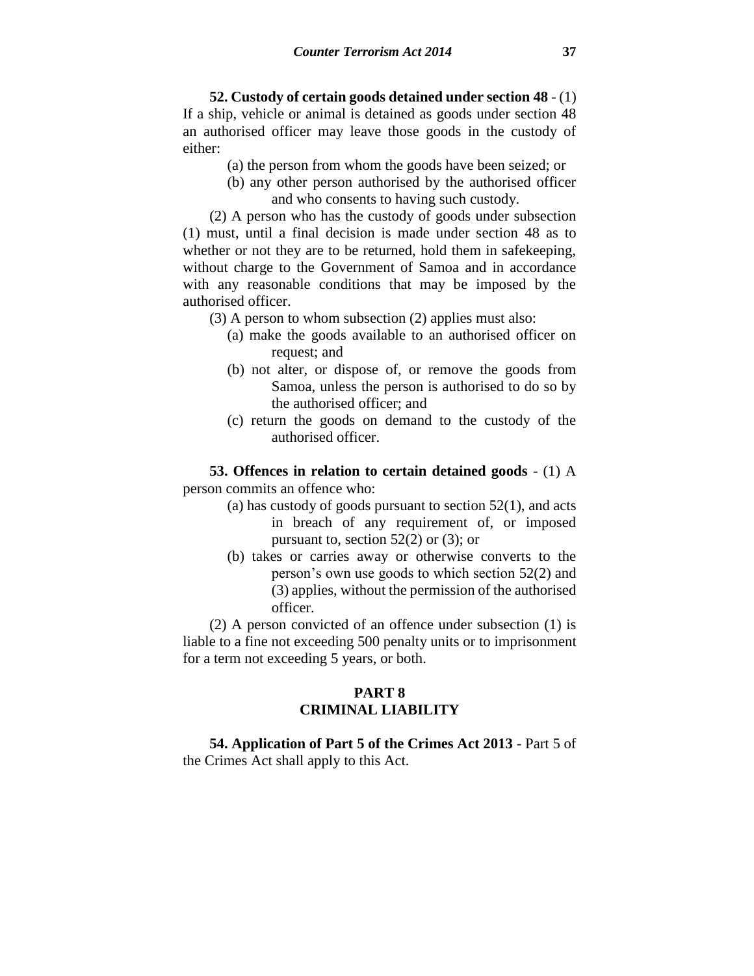**52. Custody of certain goods detained under section 48** - (1) If a ship, vehicle or animal is detained as goods under section 48 an authorised officer may leave those goods in the custody of either:

- (a) the person from whom the goods have been seized; or
- (b) any other person authorised by the authorised officer and who consents to having such custody.

(2) A person who has the custody of goods under subsection (1) must, until a final decision is made under section 48 as to whether or not they are to be returned, hold them in safekeeping, without charge to the Government of Samoa and in accordance with any reasonable conditions that may be imposed by the authorised officer.

- (3) A person to whom subsection (2) applies must also:
	- (a) make the goods available to an authorised officer on request; and
	- (b) not alter, or dispose of, or remove the goods from Samoa, unless the person is authorised to do so by the authorised officer; and
	- (c) return the goods on demand to the custody of the authorised officer.

**53. Offences in relation to certain detained goods** - (1) A person commits an offence who:

- (a) has custody of goods pursuant to section 52(1), and acts in breach of any requirement of, or imposed pursuant to, section  $52(2)$  or  $(3)$ ; or
- (b) takes or carries away or otherwise converts to the person's own use goods to which section 52(2) and (3) applies, without the permission of the authorised officer.

(2) A person convicted of an offence under subsection (1) is liable to a fine not exceeding 500 penalty units or to imprisonment for a term not exceeding 5 years, or both.

## **PART 8 CRIMINAL LIABILITY**

**54. Application of Part 5 of the Crimes Act 2013** - Part 5 of the Crimes Act shall apply to this Act.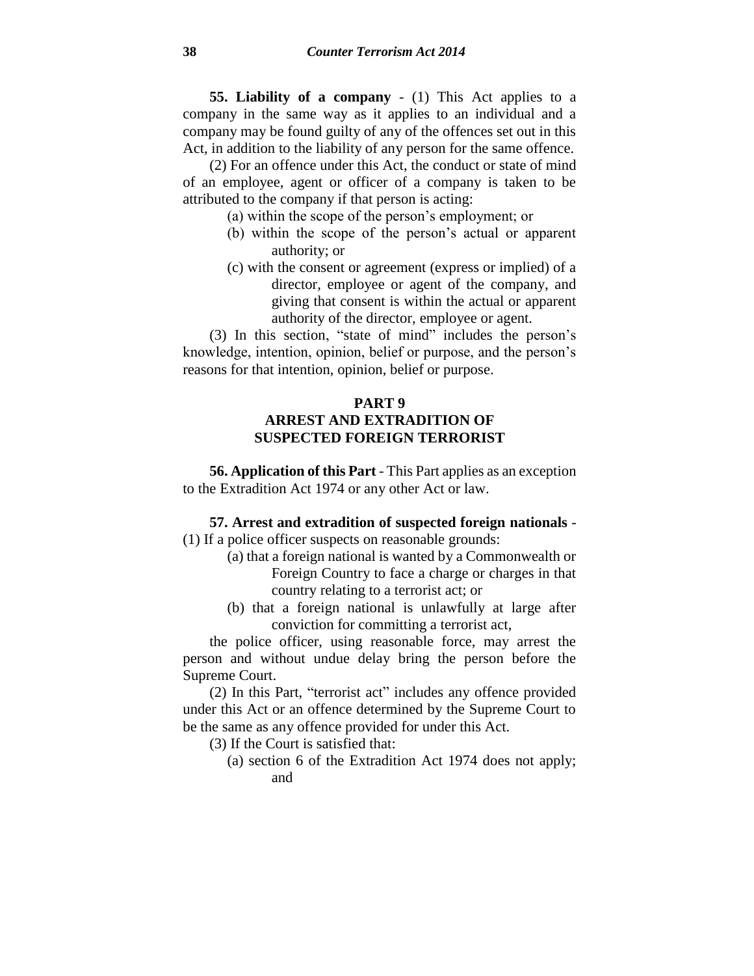**55. Liability of a company** - (1) This Act applies to a company in the same way as it applies to an individual and a company may be found guilty of any of the offences set out in this Act, in addition to the liability of any person for the same offence.

(2) For an offence under this Act, the conduct or state of mind of an employee, agent or officer of a company is taken to be attributed to the company if that person is acting:

- (a) within the scope of the person's employment; or
- (b) within the scope of the person's actual or apparent authority; or
- (c) with the consent or agreement (express or implied) of a director, employee or agent of the company, and giving that consent is within the actual or apparent authority of the director, employee or agent.

(3) In this section, "state of mind" includes the person's knowledge, intention, opinion, belief or purpose, and the person's reasons for that intention, opinion, belief or purpose.

# **PART 9 ARREST AND EXTRADITION OF SUSPECTED FOREIGN TERRORIST**

**56. Application of this Part** - This Part applies as an exception to the Extradition Act 1974 or any other Act or law.

**57. Arrest and extradition of suspected foreign nationals** -

(1) If a police officer suspects on reasonable grounds:

- (a) that a foreign national is wanted by a Commonwealth or Foreign Country to face a charge or charges in that country relating to a terrorist act; or
- (b) that a foreign national is unlawfully at large after conviction for committing a terrorist act,

the police officer, using reasonable force, may arrest the person and without undue delay bring the person before the Supreme Court.

(2) In this Part, "terrorist act" includes any offence provided under this Act or an offence determined by the Supreme Court to be the same as any offence provided for under this Act.

- (3) If the Court is satisfied that:
	- (a) section 6 of the Extradition Act 1974 does not apply; and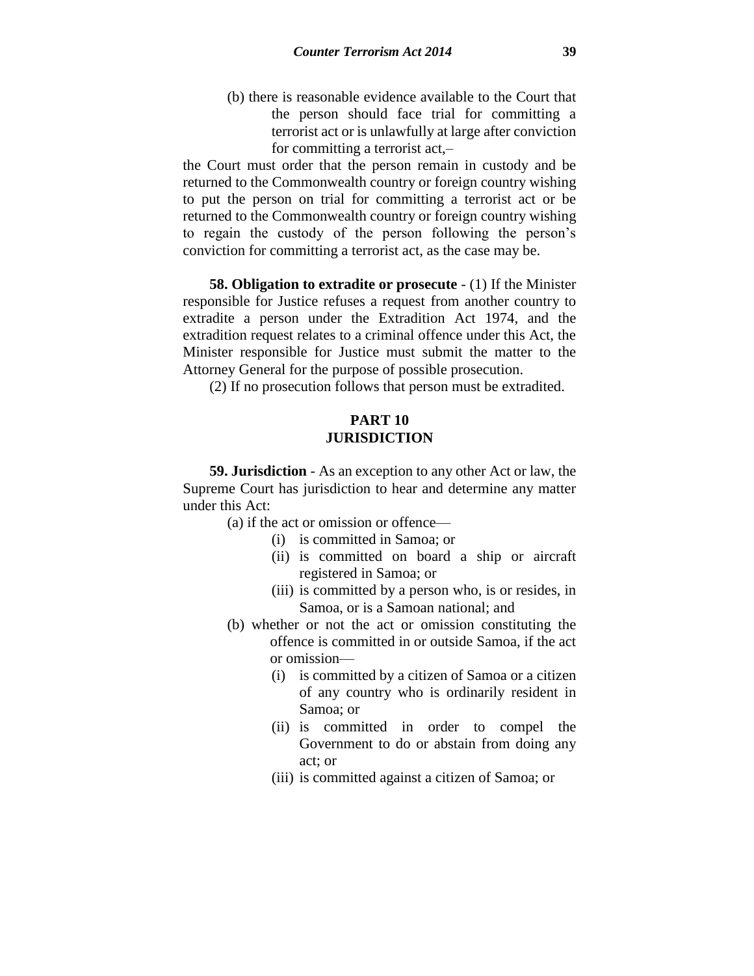(b) there is reasonable evidence available to the Court that the person should face trial for committing a terrorist act or is unlawfully at large after conviction for committing a terrorist act,–

the Court must order that the person remain in custody and be returned to the Commonwealth country or foreign country wishing to put the person on trial for committing a terrorist act or be returned to the Commonwealth country or foreign country wishing to regain the custody of the person following the person's conviction for committing a terrorist act, as the case may be.

**58. Obligation to extradite or prosecute** - (1) If the Minister responsible for Justice refuses a request from another country to extradite a person under the Extradition Act 1974, and the extradition request relates to a criminal offence under this Act, the Minister responsible for Justice must submit the matter to the Attorney General for the purpose of possible prosecution.

(2) If no prosecution follows that person must be extradited.

## **PART 10 JURISDICTION**

**59. Jurisdiction** - As an exception to any other Act or law, the Supreme Court has jurisdiction to hear and determine any matter under this Act:

(a) if the act or omission or offence—

- (i) is committed in Samoa; or
- (ii) is committed on board a ship or aircraft registered in Samoa; or
- (iii) is committed by a person who, is or resides, in Samoa, or is a Samoan national; and
- (b) whether or not the act or omission constituting the offence is committed in or outside Samoa, if the act or omission—
	- (i) is committed by a citizen of Samoa or a citizen of any country who is ordinarily resident in Samoa; or
	- (ii) is committed in order to compel the Government to do or abstain from doing any act; or
	- (iii) is committed against a citizen of Samoa; or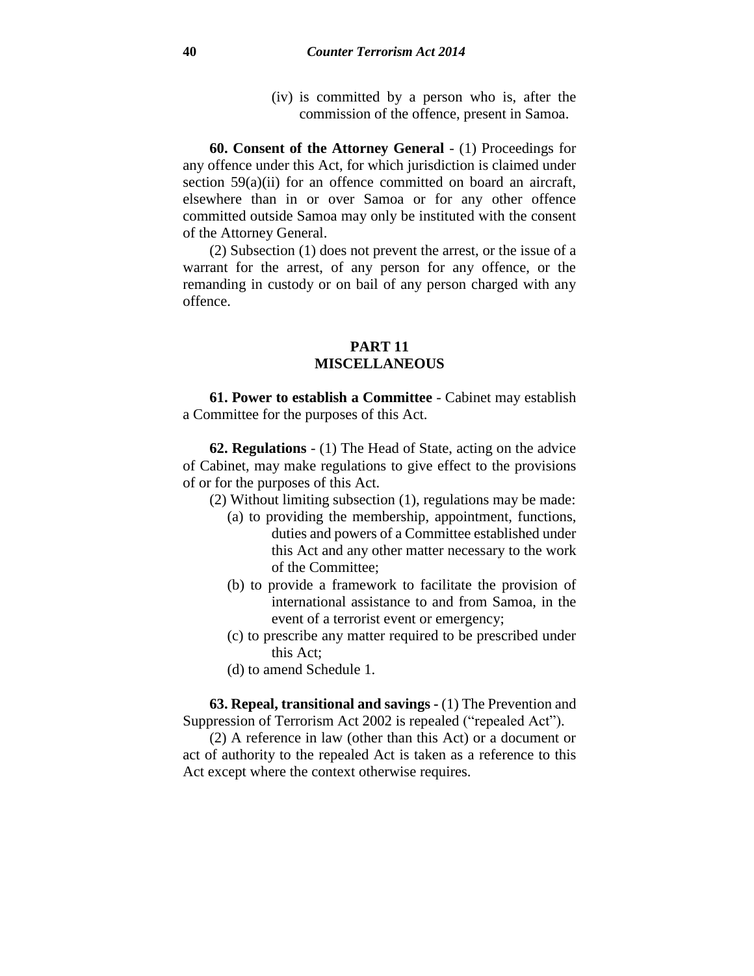(iv) is committed by a person who is, after the commission of the offence, present in Samoa.

**60. Consent of the Attorney General** - (1) Proceedings for any offence under this Act, for which jurisdiction is claimed under section 59(a)(ii) for an offence committed on board an aircraft, elsewhere than in or over Samoa or for any other offence committed outside Samoa may only be instituted with the consent of the Attorney General.

(2) Subsection (1) does not prevent the arrest, or the issue of a warrant for the arrest, of any person for any offence, or the remanding in custody or on bail of any person charged with any offence.

## **PART 11 MISCELLANEOUS**

**61. Power to establish a Committee** - Cabinet may establish a Committee for the purposes of this Act.

**62. Regulations** - (1) The Head of State, acting on the advice of Cabinet, may make regulations to give effect to the provisions of or for the purposes of this Act.

- (2) Without limiting subsection (1), regulations may be made:
	- (a) to providing the membership, appointment, functions, duties and powers of a Committee established under this Act and any other matter necessary to the work of the Committee;
	- (b) to provide a framework to facilitate the provision of international assistance to and from Samoa, in the event of a terrorist event or emergency;
	- (c) to prescribe any matter required to be prescribed under this Act;
	- (d) to amend Schedule 1.

**63. Repeal, transitional and savings -** (1) The Prevention and Suppression of Terrorism Act 2002 is repealed ("repealed Act").

(2) A reference in law (other than this Act) or a document or act of authority to the repealed Act is taken as a reference to this Act except where the context otherwise requires.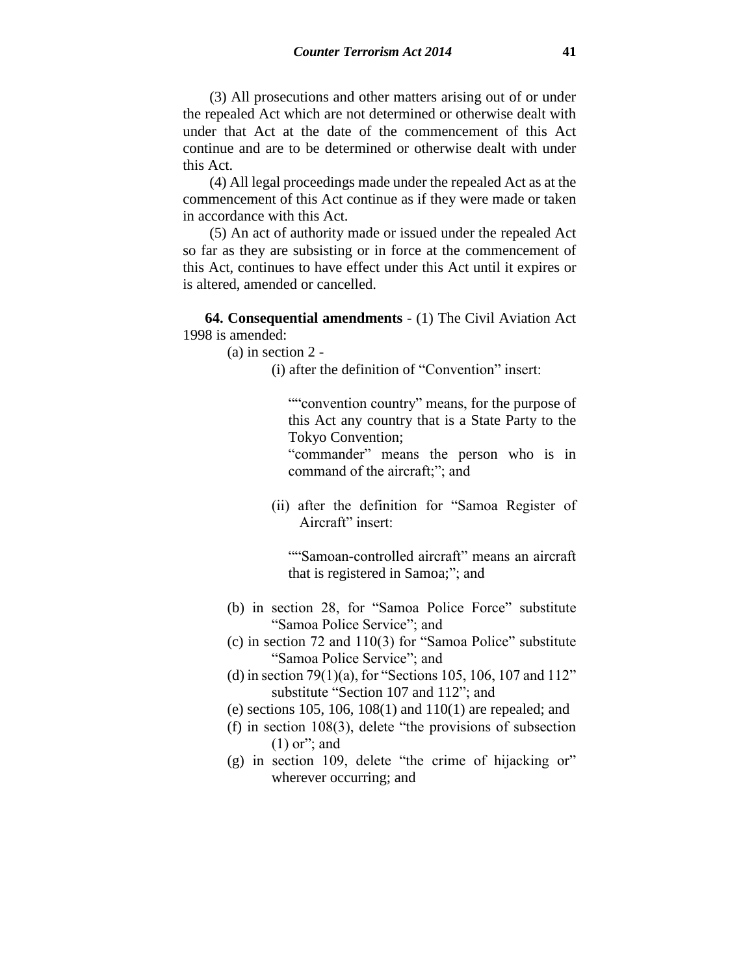(3) All prosecutions and other matters arising out of or under the repealed Act which are not determined or otherwise dealt with under that Act at the date of the commencement of this Act continue and are to be determined or otherwise dealt with under this Act.

(4) All legal proceedings made under the repealed Act as at the commencement of this Act continue as if they were made or taken in accordance with this Act.

(5) An act of authority made or issued under the repealed Act so far as they are subsisting or in force at the commencement of this Act, continues to have effect under this Act until it expires or is altered, amended or cancelled.

**64. Consequential amendments** - (1) The Civil Aviation Act 1998 is amended:

(a) in section 2 -

(i) after the definition of "Convention" insert:

""convention country" means, for the purpose of this Act any country that is a State Party to the Tokyo Convention;

"commander" means the person who is in command of the aircraft;"; and

(ii) after the definition for "Samoa Register of Aircraft" insert:

""Samoan-controlled aircraft" means an aircraft that is registered in Samoa;"; and

- (b) in section 28, for "Samoa Police Force" substitute "Samoa Police Service"; and
- (c) in section 72 and 110(3) for "Samoa Police" substitute "Samoa Police Service"; and
- (d) in section 79(1)(a), for "Sections 105, 106, 107 and  $112"$ substitute "Section 107 and 112"; and
- (e) sections 105, 106, 108(1) and 110(1) are repealed; and
- (f) in section 108(3), delete "the provisions of subsection  $(1)$  or"; and
- (g) in section 109, delete "the crime of hijacking or" wherever occurring; and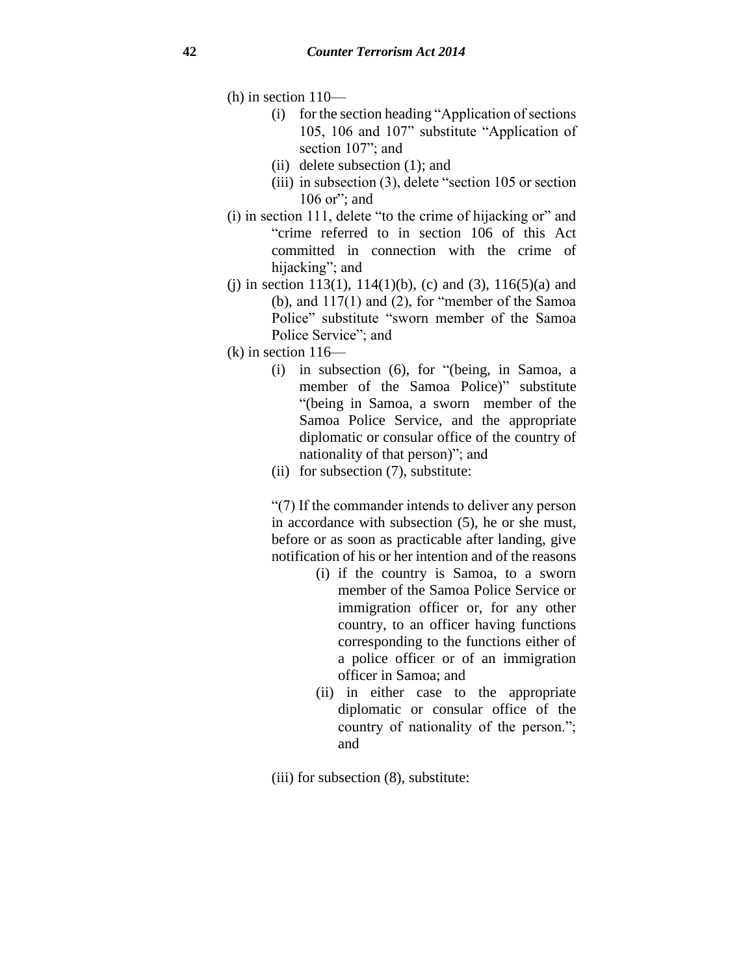(h) in section 110—

- (i) for the section heading "Application of sections 105, 106 and 107" substitute "Application of section 107"; and
- (ii) delete subsection (1); and
- (iii) in subsection (3), delete "section 105 or section 106 or"; and
- (i) in section 111, delete "to the crime of hijacking or" and "crime referred to in section 106 of this Act committed in connection with the crime of hijacking"; and
- (i) in section 113(1), 114(1)(b), (c) and (3), 116(5)(a) and (b), and  $117(1)$  and  $(2)$ , for "member of the Samoa" Police" substitute "sworn member of the Samoa Police Service"; and
- $(k)$  in section  $116$ 
	- (i) in subsection (6), for "(being, in Samoa, a member of the Samoa Police)" substitute "(being in Samoa, a sworn member of the Samoa Police Service, and the appropriate diplomatic or consular office of the country of nationality of that person)"; and
	- (ii) for subsection (7), substitute:

"(7) If the commander intends to deliver any person in accordance with subsection (5), he or she must, before or as soon as practicable after landing, give notification of his or her intention and of the reasons

- (i) if the country is Samoa, to a sworn member of the Samoa Police Service or immigration officer or, for any other country, to an officer having functions corresponding to the functions either of a police officer or of an immigration officer in Samoa; and
- (ii) in either case to the appropriate diplomatic or consular office of the country of nationality of the person."; and
- (iii) for subsection (8), substitute: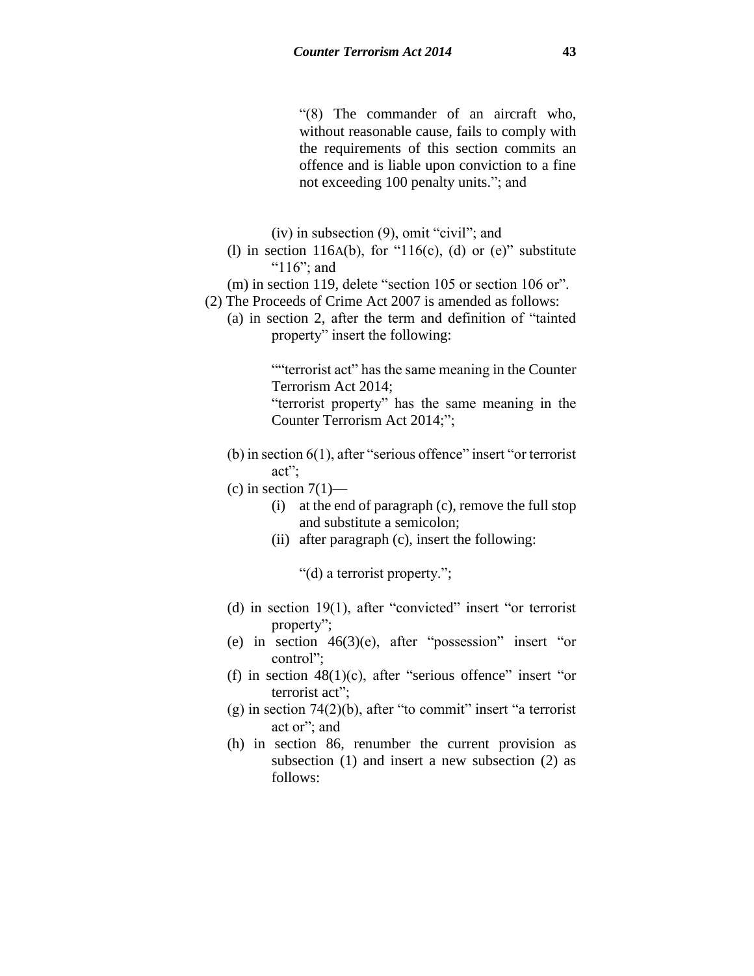"(8) The commander of an aircraft who, without reasonable cause, fails to comply with the requirements of this section commits an offence and is liable upon conviction to a fine not exceeding 100 penalty units."; and

(iv) in subsection (9), omit "civil"; and

(1) in section 116A(b), for "116(c), (d) or (e)" substitute "116"; and

(m) in section 119, delete "section 105 or section 106 or". (2) The Proceeds of Crime Act 2007 is amended as follows:

(a) in section 2, after the term and definition of "tainted property" insert the following:

> ""terrorist act" has the same meaning in the Counter Terrorism Act 2014;

> "terrorist property" has the same meaning in the Counter Terrorism Act 2014;";

- (b) in section 6(1), after "serious offence" insert "or terrorist act";
- $(c)$  in section  $7(1)$ 
	- (i) at the end of paragraph (c), remove the full stop and substitute a semicolon;
	- (ii) after paragraph (c), insert the following:

"(d) a terrorist property.";

- (d) in section 19(1), after "convicted" insert "or terrorist property";
- (e) in section  $46(3)(e)$ , after "possession" insert "or control";
- (f) in section  $48(1)(c)$ , after "serious offence" insert "or terrorist act";
- $(g)$  in section 74(2)(b), after "to commit" insert "a terrorist act or"; and
- (h) in section 86, renumber the current provision as subsection (1) and insert a new subsection (2) as follows: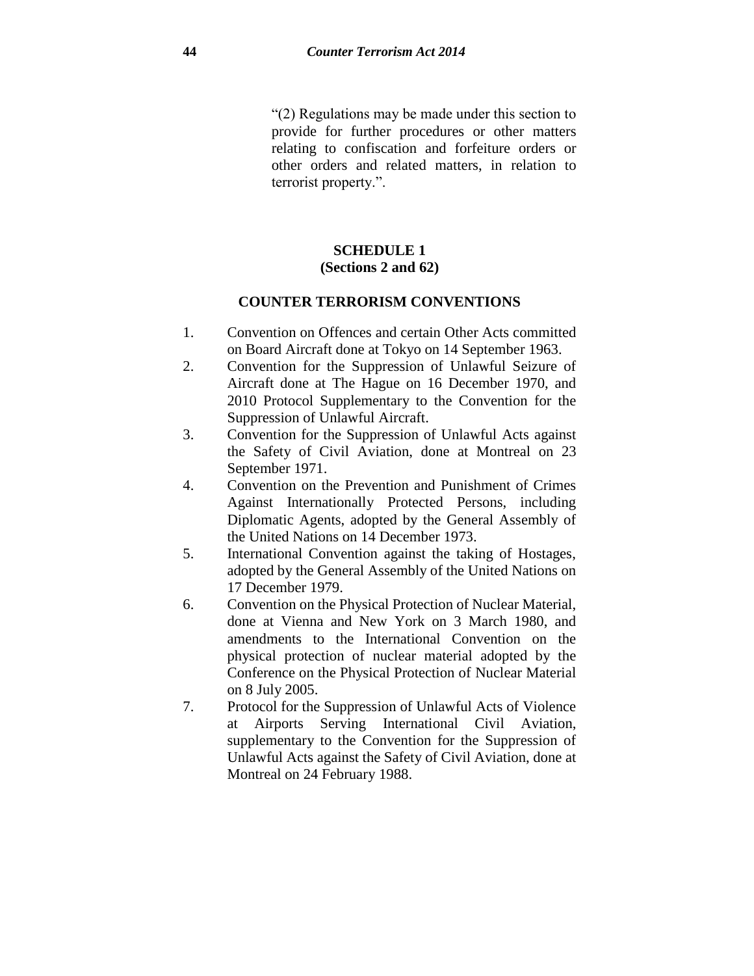"(2) Regulations may be made under this section to provide for further procedures or other matters relating to confiscation and forfeiture orders or other orders and related matters, in relation to terrorist property.".

# **SCHEDULE 1 (Sections 2 and 62)**

## **COUNTER TERRORISM CONVENTIONS**

- 1. Convention on Offences and certain Other Acts committed on Board Aircraft done at Tokyo on 14 September 1963.
- 2. Convention for the Suppression of Unlawful Seizure of Aircraft done at The Hague on 16 December 1970, and 2010 Protocol Supplementary to the Convention for the Suppression of Unlawful Aircraft.
- 3. Convention for the Suppression of Unlawful Acts against the Safety of Civil Aviation, done at Montreal on 23 September 1971.
- 4. Convention on the Prevention and Punishment of Crimes Against Internationally Protected Persons, including Diplomatic Agents, adopted by the General Assembly of the United Nations on 14 December 1973.
- 5. International Convention against the taking of Hostages, adopted by the General Assembly of the United Nations on 17 December 1979.
- 6. Convention on the Physical Protection of Nuclear Material, done at Vienna and New York on 3 March 1980, and amendments to the International Convention on the physical protection of nuclear material adopted by the Conference on the Physical Protection of Nuclear Material on 8 July 2005.
- 7. Protocol for the Suppression of Unlawful Acts of Violence at Airports Serving International Civil Aviation, supplementary to the Convention for the Suppression of Unlawful Acts against the Safety of Civil Aviation, done at Montreal on 24 February 1988.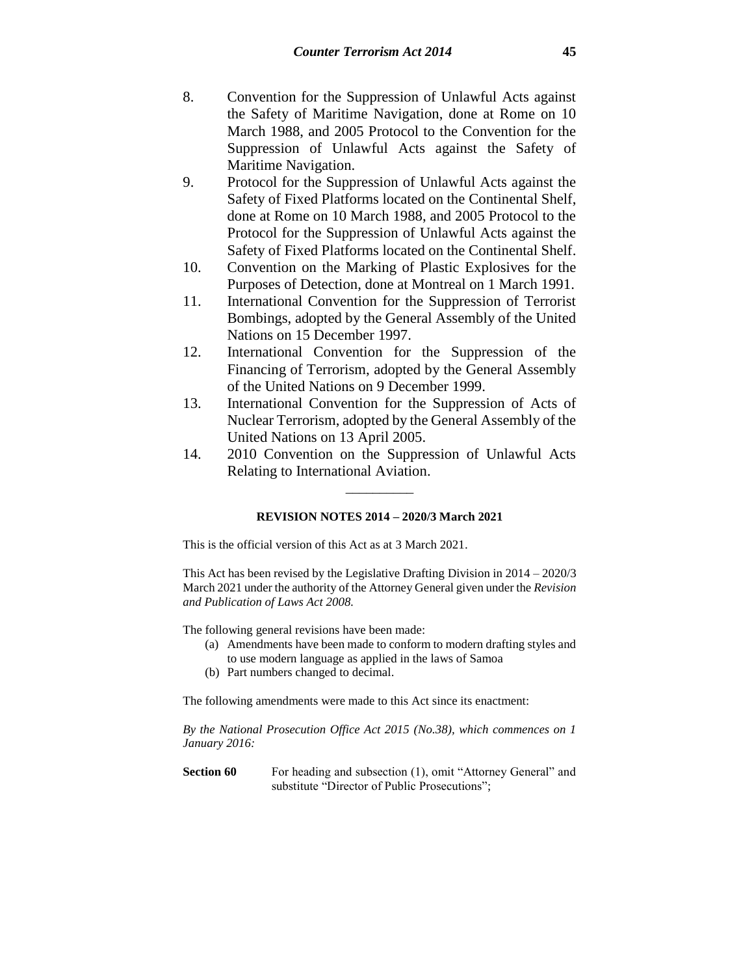- 8. Convention for the Suppression of Unlawful Acts against the Safety of Maritime Navigation, done at Rome on 10 March 1988, and 2005 Protocol to the Convention for the Suppression of Unlawful Acts against the Safety of Maritime Navigation.
- 9. Protocol for the Suppression of Unlawful Acts against the Safety of Fixed Platforms located on the Continental Shelf, done at Rome on 10 March 1988, and 2005 Protocol to the Protocol for the Suppression of Unlawful Acts against the Safety of Fixed Platforms located on the Continental Shelf.
- 10. Convention on the Marking of Plastic Explosives for the Purposes of Detection, done at Montreal on 1 March 1991.
- 11. International Convention for the Suppression of Terrorist Bombings, adopted by the General Assembly of the United Nations on 15 December 1997.
- 12. International Convention for the Suppression of the Financing of Terrorism, adopted by the General Assembly of the United Nations on 9 December 1999.
- 13. International Convention for the Suppression of Acts of Nuclear Terrorism, adopted by the General Assembly of the United Nations on 13 April 2005.
- 14. 2010 Convention on the Suppression of Unlawful Acts Relating to International Aviation. \_\_\_\_\_\_\_\_\_\_

#### **REVISION NOTES 2014 – 2020/3 March 2021**

This is the official version of this Act as at 3 March 2021.

This Act has been revised by the Legislative Drafting Division in 2014 – 2020/3 March 2021 under the authority of the Attorney General given under the *Revision and Publication of Laws Act 2008.*

The following general revisions have been made:

- (a) Amendments have been made to conform to modern drafting styles and to use modern language as applied in the laws of Samoa
- (b) Part numbers changed to decimal.

The following amendments were made to this Act since its enactment:

*By the National Prosecution Office Act 2015 (No.38), which commences on 1 January 2016:*

**Section 60** For heading and subsection (1), omit "Attorney General" and substitute "Director of Public Prosecutions";